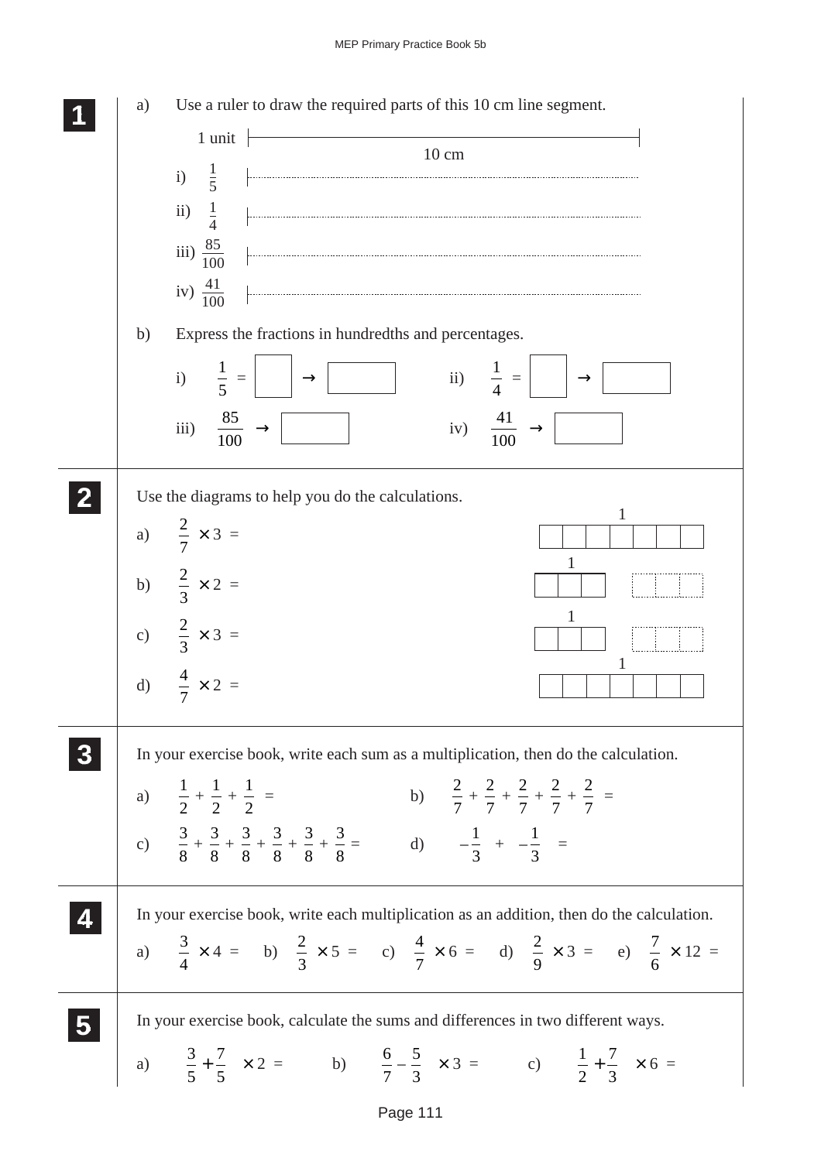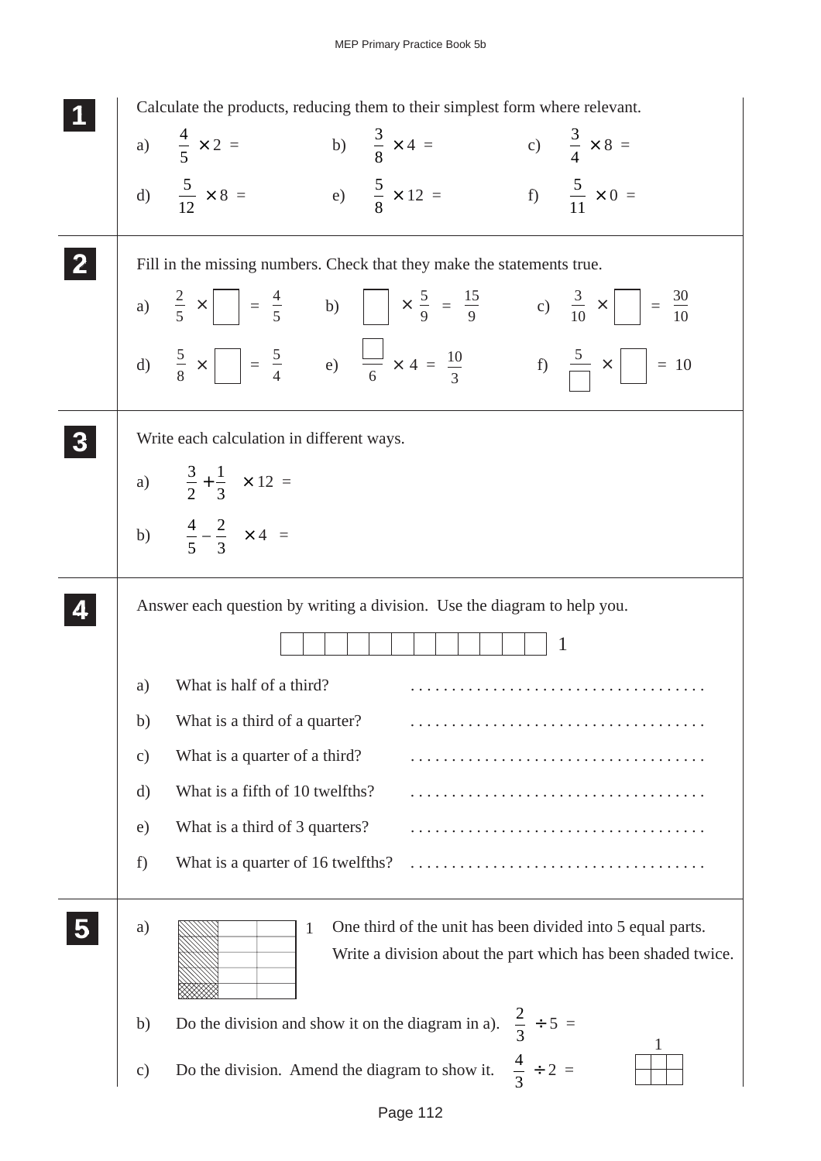|                         |    | Calculate the products, reducing them to their simplest form where relevant.                                                             |
|-------------------------|----|------------------------------------------------------------------------------------------------------------------------------------------|
|                         |    | b) $\frac{3}{8} \times 4 =$ c) $\frac{3}{4} \times 8 =$<br>a) $\frac{4}{5} \times 2 =$                                                   |
|                         |    | f) $\frac{5}{11} \times 0 =$<br>d) $\frac{5}{12} \times 8 =$<br>e) $\frac{5}{8} \times 12 =$                                             |
|                         |    | Fill in the missing numbers. Check that they make the statements true.                                                                   |
|                         |    | a) $\frac{2}{5} \times$ = $\frac{4}{5}$ b) $\times \frac{5}{9} = \frac{15}{9}$ c) $\frac{3}{10} \times$ = $\frac{30}{10}$                |
|                         |    | d) $\frac{5}{8} \times \boxed{ } = \frac{5}{4}$ e) $\frac{11}{6} \times 4 = \frac{10}{3}$ f) $\frac{5}{\boxed{ }} \times \boxed{ } = 10$ |
|                         |    | Write each calculation in different ways.                                                                                                |
|                         |    | a) $\left(\frac{3}{2} + \frac{1}{3}\right) \times 12 =$                                                                                  |
|                         |    | b) $\left(\frac{4}{5} - \frac{2}{3}\right) \times 4 =$                                                                                   |
|                         |    | Answer each question by writing a division. Use the diagram to help you.                                                                 |
|                         |    | $\mathbf{1}$                                                                                                                             |
|                         | a) | What is half of a third?                                                                                                                 |
|                         | b) | What is a third of a quarter?                                                                                                            |
|                         | c) | What is a quarter of a third?                                                                                                            |
|                         | d) | What is a fifth of 10 twelfths?                                                                                                          |
|                         | e) | What is a third of 3 quarters?                                                                                                           |
|                         | f) | What is a quarter of 16 twelfths?                                                                                                        |
| $\overline{\mathbf{5}}$ | a) | One third of the unit has been divided into 5 equal parts.<br>1<br>Write a division about the part which has been shaded twice.          |
|                         | b) | Do the division and show it on the diagram in a). $\frac{2}{3} \div 5 =$                                                                 |
|                         | c) | $\frac{4}{3} \div 2 =$<br>Do the division. Amend the diagram to show it.                                                                 |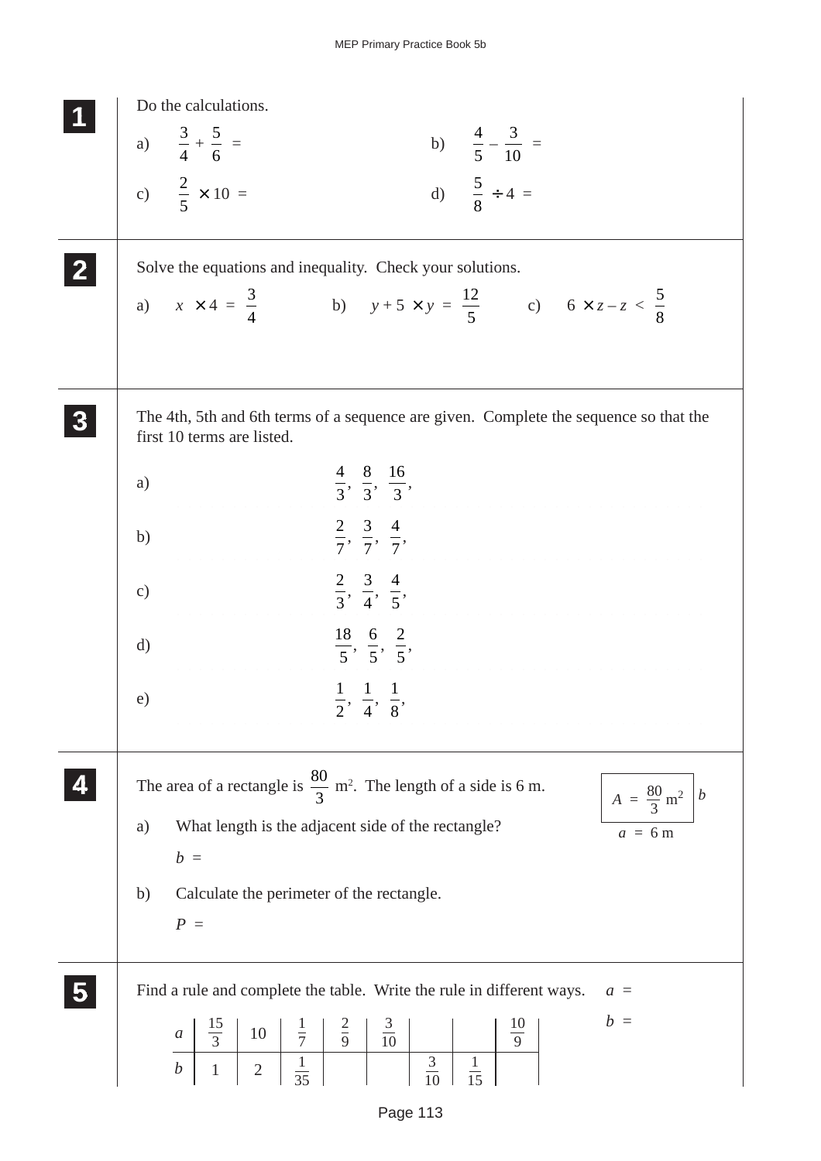| Do the calculations.                                                                                                                                                                                                                                                                                                         |
|------------------------------------------------------------------------------------------------------------------------------------------------------------------------------------------------------------------------------------------------------------------------------------------------------------------------------|
| b) $\frac{4}{5} - \frac{3}{10} =$<br>a) $\frac{3}{4} + \frac{5}{6} =$                                                                                                                                                                                                                                                        |
|                                                                                                                                                                                                                                                                                                                              |
| c) $\frac{2}{5} \times 10 =$<br>d) $\frac{5}{8} \div 4 =$                                                                                                                                                                                                                                                                    |
|                                                                                                                                                                                                                                                                                                                              |
| Solve the equations and inequality. Check your solutions.                                                                                                                                                                                                                                                                    |
| a) $x \times 4 = \frac{3}{4}$ b) $y + 5 \times y = \frac{12}{5}$ c) $6 \times z - z < \frac{5}{8}$                                                                                                                                                                                                                           |
|                                                                                                                                                                                                                                                                                                                              |
|                                                                                                                                                                                                                                                                                                                              |
| The 4th, 5th and 6th terms of a sequence are given. Complete the sequence so that the<br>first 10 terms are listed.                                                                                                                                                                                                          |
| $\frac{4}{3}, \frac{8}{3}, \frac{16}{3},$<br>a)                                                                                                                                                                                                                                                                              |
|                                                                                                                                                                                                                                                                                                                              |
| $\frac{2}{7}, \frac{3}{7}, \frac{4}{7}$<br>b)                                                                                                                                                                                                                                                                                |
| $\frac{2}{3}, \frac{3}{4}, \frac{4}{5}$<br>$\mathbf{c})$                                                                                                                                                                                                                                                                     |
|                                                                                                                                                                                                                                                                                                                              |
| $\frac{18}{5}, \frac{6}{5}, \frac{2}{5}$<br>$\mathrm{d}$                                                                                                                                                                                                                                                                     |
|                                                                                                                                                                                                                                                                                                                              |
|                                                                                                                                                                                                                                                                                                                              |
|                                                                                                                                                                                                                                                                                                                              |
|                                                                                                                                                                                                                                                                                                                              |
| What length is the adjacent side of the rectangle?<br>a)<br>$a = 6m$                                                                                                                                                                                                                                                         |
| $b =$                                                                                                                                                                                                                                                                                                                        |
| Calculate the perimeter of the rectangle.<br>b)                                                                                                                                                                                                                                                                              |
| $P =$                                                                                                                                                                                                                                                                                                                        |
|                                                                                                                                                                                                                                                                                                                              |
| Find a rule and complete the table. Write the rule in different ways.<br>$a =$                                                                                                                                                                                                                                               |
| $b =$<br>10<br>$\boldsymbol{a}$                                                                                                                                                                                                                                                                                              |
| $\boldsymbol{b}$<br>$\overline{2}$                                                                                                                                                                                                                                                                                           |
| $\frac{1}{2}, \frac{1}{4}, \frac{1}{8},$<br>e)<br>The area of a rectangle is $\frac{80}{3}$ m <sup>2</sup> . The length of a side is 6 m.<br>$A = \frac{80}{3} \text{ m}^2 \mid b$<br>$\frac{10}{9}$<br>$\frac{15}{3}$<br>$rac{2}{9}$<br>$\frac{3}{10}$<br>$rac{1}{7}$<br>$\frac{1}{35}$<br>$\frac{3}{10}$<br>$\frac{1}{15}$ |

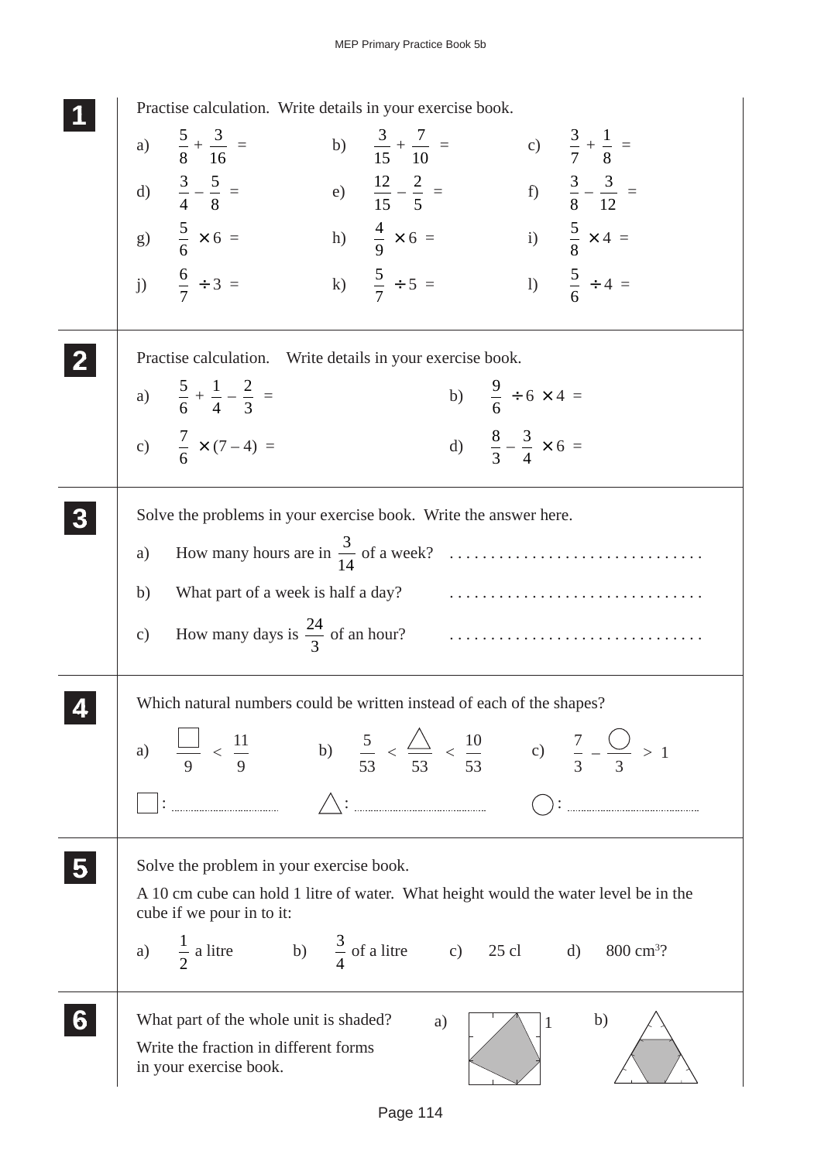| Practise calculation. Write details in your exercise book.                                                                                                                                                                                                                                                                                                                                                                                                                                                                                                   |
|--------------------------------------------------------------------------------------------------------------------------------------------------------------------------------------------------------------------------------------------------------------------------------------------------------------------------------------------------------------------------------------------------------------------------------------------------------------------------------------------------------------------------------------------------------------|
| a) $\frac{5}{8} + \frac{3}{16} =$<br>b) $\frac{3}{15} + \frac{7}{10} =$<br>c) $\frac{3}{7} + \frac{1}{8} =$                                                                                                                                                                                                                                                                                                                                                                                                                                                  |
| f) $\frac{3}{8} - \frac{3}{12} =$<br>d) $\frac{3}{4} - \frac{5}{8} =$<br>e) $\frac{12}{15} - \frac{2}{5} =$                                                                                                                                                                                                                                                                                                                                                                                                                                                  |
| i) $\frac{5}{8} \times 4 =$<br>g) $\frac{5}{6} \times 6 =$<br>h) $\frac{4}{9} \times 6 =$                                                                                                                                                                                                                                                                                                                                                                                                                                                                    |
| j) $\frac{6}{7} \div 3 =$<br>1) $\frac{5}{6} \div 4 =$<br>k) $\frac{5}{7} \div 5 =$                                                                                                                                                                                                                                                                                                                                                                                                                                                                          |
| Practise calculation. Write details in your exercise book.                                                                                                                                                                                                                                                                                                                                                                                                                                                                                                   |
| b) $\frac{9}{6} \div 6 \times 4 =$<br>a) $\frac{5}{6} + \frac{1}{4} - \frac{2}{3} =$                                                                                                                                                                                                                                                                                                                                                                                                                                                                         |
| c) $\frac{7}{6} \times (7-4) =$<br>d) $\frac{8}{3} - \frac{3}{4} \times 6 =$                                                                                                                                                                                                                                                                                                                                                                                                                                                                                 |
| Solve the problems in your exercise book. Write the answer here.                                                                                                                                                                                                                                                                                                                                                                                                                                                                                             |
| a)                                                                                                                                                                                                                                                                                                                                                                                                                                                                                                                                                           |
| b)                                                                                                                                                                                                                                                                                                                                                                                                                                                                                                                                                           |
| How many days is $\frac{24}{3}$ of an hour?<br>$\begin{minipage}{.4\linewidth} \begin{tabular}{l} \hline \multicolumn{3}{c} {\textbf{1}} & \multicolumn{3}{c} {\textbf{2}} & \multicolumn{3}{c} {\textbf{3}} & \multicolumn{3}{c} {\textbf{4}} & \multicolumn{3}{c} {\textbf{5}} & \multicolumn{3}{c} {\textbf{6}} & \multicolumn{3}{c} {\textbf{7}} & \multicolumn{3}{c} {\textbf{8}} & \multicolumn{3}{c} {\textbf{9}} & \multicolumn{3}{c} {\textbf{1}} & \multicolumn{3}{c} {\textbf{1}} & \multicolumn{3}{c} {\textbf{1}} & \multicolumn{$<br>$\circ$ ) |
| Which natural numbers could be written instead of each of the shapes?                                                                                                                                                                                                                                                                                                                                                                                                                                                                                        |
| a) $\frac{1}{9} < \frac{11}{9}$ b) $\frac{5}{53} < \frac{\triangle}{53} < \frac{10}{53}$ c) $\frac{7}{3} - \frac{\triangle}{3} > 1$                                                                                                                                                                                                                                                                                                                                                                                                                          |
| $\triangle$ : $\triangle$ : $\triangle$ : $\triangle$ : $\triangle$ : $\triangle$ : $\triangle$ : $\triangle$ : $\triangle$ : $\triangle$ : $\triangle$ : $\triangle$ : $\triangle$ : $\triangle$ : $\triangle$ : $\triangle$ : $\triangle$ : $\triangle$ : $\triangle$ : $\triangle$ : $\triangle$ : $\triangle$ : $\triangle$ : $\triangle$ : $\triangle$ : $\triangle$ : $\triangle$ : $\triangle$ : $\triangle$ : $\triangle$ : $\triangle$ : $\triangle$                                                                                                |
| Solve the problem in your exercise book.                                                                                                                                                                                                                                                                                                                                                                                                                                                                                                                     |
| A 10 cm cube can hold 1 litre of water. What height would the water level be in the<br>cube if we pour in to it:                                                                                                                                                                                                                                                                                                                                                                                                                                             |
| a) $\frac{1}{2}$ a litre b) $\frac{3}{4}$ of a litre c) 25 cl d) 800 cm <sup>3</sup> ?                                                                                                                                                                                                                                                                                                                                                                                                                                                                       |
| What part of the whole unit is shaded?<br>b)<br>a)                                                                                                                                                                                                                                                                                                                                                                                                                                                                                                           |
| Write the fraction in different forms<br>in your exercise book.                                                                                                                                                                                                                                                                                                                                                                                                                                                                                              |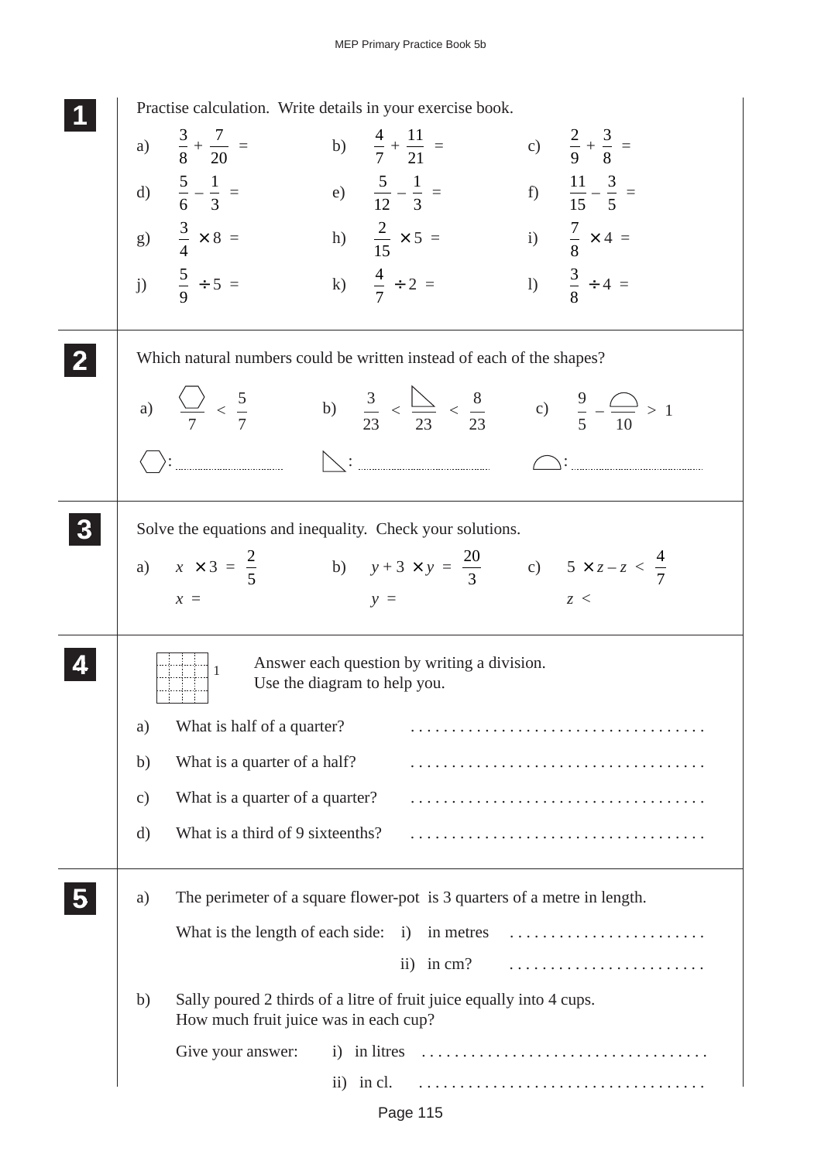|               | Practise calculation. Write details in your exercise book.                                                                                                                                                                                                                                                                                                                                                                                                                              |
|---------------|-----------------------------------------------------------------------------------------------------------------------------------------------------------------------------------------------------------------------------------------------------------------------------------------------------------------------------------------------------------------------------------------------------------------------------------------------------------------------------------------|
|               | a) $\frac{3}{8} + \frac{7}{20} =$<br>c) $\frac{2}{9} + \frac{3}{8} =$<br>b) $\frac{4}{7} + \frac{11}{21} =$                                                                                                                                                                                                                                                                                                                                                                             |
|               | d) $\frac{5}{6} - \frac{1}{3} =$<br>f) $\frac{11}{15} - \frac{3}{5} =$<br>e) $\frac{5}{12} - \frac{1}{3} =$                                                                                                                                                                                                                                                                                                                                                                             |
|               | i) $\frac{7}{8} \times 4 =$<br>g) $\frac{3}{4} \times 8 =$<br>h) $\frac{2}{15} \times 5 =$                                                                                                                                                                                                                                                                                                                                                                                              |
|               | j) $\frac{5}{9} \div 5 =$<br>1) $\frac{3}{8} \div 4 =$<br>k) $\frac{4}{7} \div 2 =$                                                                                                                                                                                                                                                                                                                                                                                                     |
|               | Which natural numbers could be written instead of each of the shapes?                                                                                                                                                                                                                                                                                                                                                                                                                   |
|               | a) $\frac{\binom{3}{2}}{7} < \frac{5}{7}$ b) $\frac{3}{23} < \frac{\binom{3}{23}}{23} < \frac{8}{23}$ c) $\frac{9}{5} - \frac{\binom{3}{23}}{10} > 1$                                                                                                                                                                                                                                                                                                                                   |
|               | $\left.\rule{0cm}{0.4cm}\right)\left.\rule{0cm}{0.4cm}\right)\left.\rule{0cm}{0.4cm}\right)\left.\rule{0cm}{0.4cm}\right)\left.\rule{0cm}{0.4cm}\right)\left.\rule{0cm}{0.4cm}\right)\left.\rule{0cm}{0.4cm}\right)\left.\rule{0cm}{0.4cm}\right)\left.\rule{0cm}{0.4cm}\right)\left.\rule{0cm}{0.4cm}\right)\left.\rule{0cm}{0.4cm}\right)\left.\rule{0cm}{0.4cm}\right)\left.\rule{0cm}{0.4cm}\right)\left.\rule{0cm}{0.4cm}\right)\left.\rule{0cm}{0.4cm}\right)\left.\rule{0cm}{0.$ |
|               | Solve the equations and inequality. Check your solutions.                                                                                                                                                                                                                                                                                                                                                                                                                               |
|               | a) $x \times 3 = \frac{2}{5}$ b) $y + 3 \times y = \frac{20}{3}$ c) $5 \times z - z < \frac{4}{7}$                                                                                                                                                                                                                                                                                                                                                                                      |
|               | z <<br>$x =$<br>$y =$                                                                                                                                                                                                                                                                                                                                                                                                                                                                   |
|               | Answer each question by writing a division.<br>1<br>Use the diagram to help you.                                                                                                                                                                                                                                                                                                                                                                                                        |
| a)            | What is half of a quarter?                                                                                                                                                                                                                                                                                                                                                                                                                                                              |
| b)            | What is a quarter of a half?                                                                                                                                                                                                                                                                                                                                                                                                                                                            |
| $\mathbf{c})$ | What is a quarter of a quarter?                                                                                                                                                                                                                                                                                                                                                                                                                                                         |
| $\rm d)$      | What is a third of 9 sixteenths?                                                                                                                                                                                                                                                                                                                                                                                                                                                        |
| a)            | The perimeter of a square flower-pot is 3 quarters of a metre in length.                                                                                                                                                                                                                                                                                                                                                                                                                |
|               | What is the length of each side: i) in metres                                                                                                                                                                                                                                                                                                                                                                                                                                           |
|               | ii) in $cm$ ?                                                                                                                                                                                                                                                                                                                                                                                                                                                                           |
| b)            | Sally poured 2 thirds of a litre of fruit juice equally into 4 cups.<br>How much fruit juice was in each cup?                                                                                                                                                                                                                                                                                                                                                                           |
|               | Give your answer:<br>i) in litres                                                                                                                                                                                                                                                                                                                                                                                                                                                       |
|               | ii) in cl.                                                                                                                                                                                                                                                                                                                                                                                                                                                                              |
|               |                                                                                                                                                                                                                                                                                                                                                                                                                                                                                         |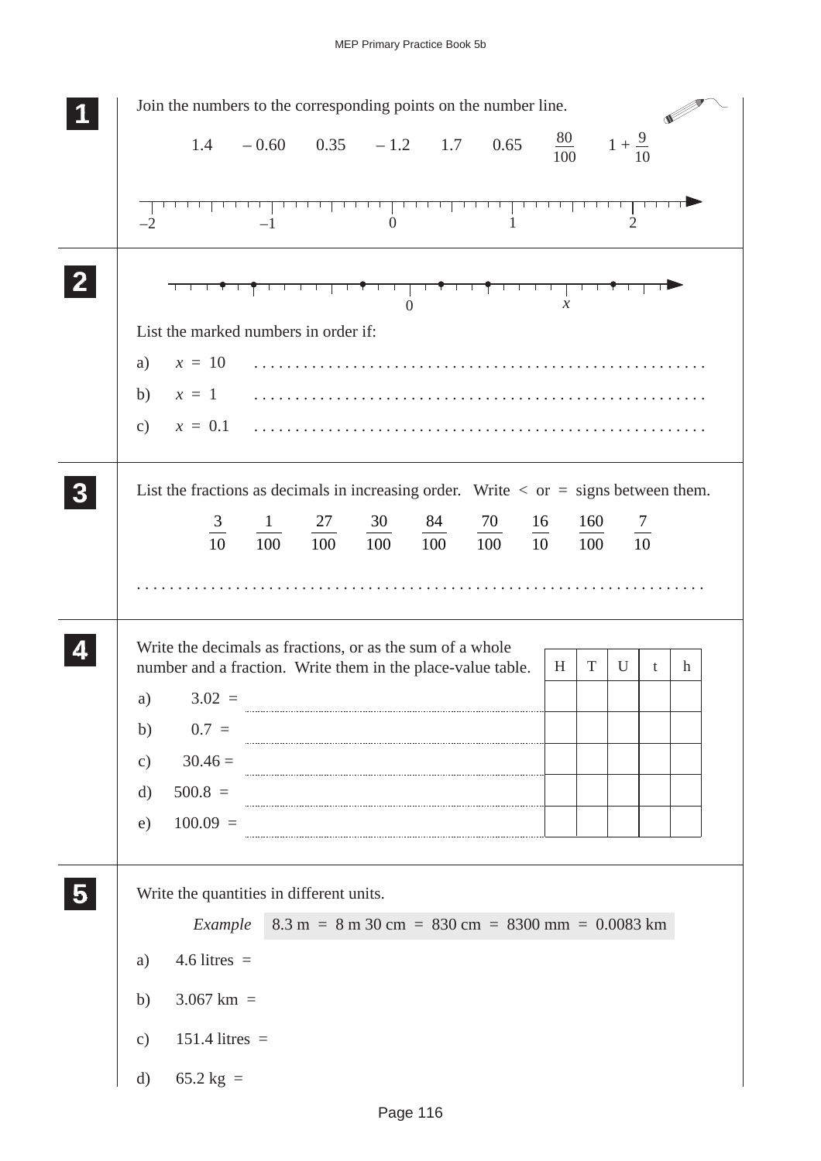| Join the numbers to the corresponding points on the number line.                                                                                                       |
|------------------------------------------------------------------------------------------------------------------------------------------------------------------------|
| $\frac{80}{100}$ $1 + \frac{9}{10}$<br>$-0.60$ $0.35$ $-1.2$ $1.7$ $0.65$<br>1.4                                                                                       |
| 1<br>$\overline{2}$<br>$\mathbf{0}$<br>$-2$<br>$-1$                                                                                                                    |
| <del>ŶŢĿŢŢŢŶŢŢŢŶŢĿŢŢ</del><br>$\mathbf{0}$<br>$\mathcal{X}$                                                                                                            |
| List the marked numbers in order if:                                                                                                                                   |
| $x = 10$<br>a)                                                                                                                                                         |
|                                                                                                                                                                        |
|                                                                                                                                                                        |
| List the fractions as decimals in increasing order. Write $\langle$ or $=$ signs between them.                                                                         |
| $\frac{3}{10}$<br>84<br>70<br>27<br>30<br>16<br>160<br>$\frac{7}{10}$<br>$\mathbf{1}$                                                                                  |
| $10\overline{0}$<br>100<br>100<br>10<br>100<br>100<br>100                                                                                                              |
|                                                                                                                                                                        |
| Write the decimals as fractions, or as the sum of a whole<br>$\mathbf T$<br>number and a fraction. Write them in the place-value table.<br>U<br>H<br>$\mathbf{h}$<br>t |
| a) $3.02 =$                                                                                                                                                            |
| $0.7 =$<br>b)                                                                                                                                                          |
| $30.46 =$<br>$\mathbf{c})$                                                                                                                                             |
| $500.8 =$<br>$\mathbf{d}$                                                                                                                                              |
| $100.09 =$<br>e)                                                                                                                                                       |
| Write the quantities in different units.                                                                                                                               |
| $8.3 \text{ m} = 8 \text{ m } 30 \text{ cm} = 830 \text{ cm} = 8300 \text{ mm} = 0.0083 \text{ km}$<br>Example                                                         |
| $4.6$ litres =<br>a)                                                                                                                                                   |
| $3.067$ km =<br>b)                                                                                                                                                     |
| $151.4$ litres =<br>$\mathbf{c})$                                                                                                                                      |
| 65.2 kg $=$<br>$\mathbf{d}$                                                                                                                                            |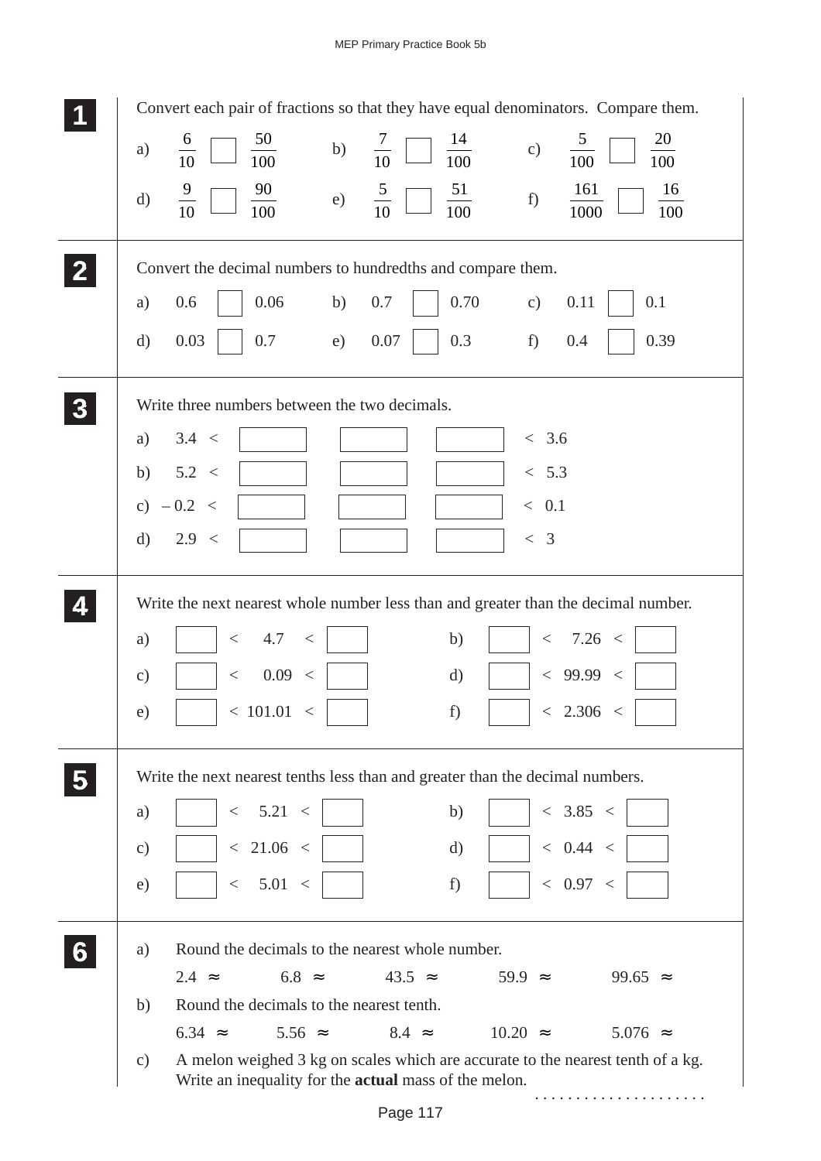|   | Convert each pair of fractions so that they have equal denominators. Compare them.                                                                               |
|---|------------------------------------------------------------------------------------------------------------------------------------------------------------------|
|   | $\frac{50}{100}$<br>$\frac{20}{100}$<br>$\frac{5}{100}$<br>$\frac{6}{10}$<br>$\frac{14}{100}$<br>$\frac{7}{10}$ $\Box$<br>b)<br>c)<br>a)                         |
|   | $\frac{9}{10}$<br>$\frac{90}{100}$<br>$\frac{51}{100}$<br>161<br>$rac{5}{10}$<br>$\frac{16}{100}$<br>e)<br>f)<br>$\mathrm{d}$<br>1000                            |
|   | Convert the decimal numbers to hundredths and compare them.                                                                                                      |
|   | 0.06<br>0.70<br>0.6<br>b)<br>0.7<br>0.11<br>0.1<br>$\mathbf{c})$<br>a)                                                                                           |
|   | 0.3<br>0.39<br>0.03<br>0.7<br>0.07<br>f)<br>0.4<br>$\rm d)$<br>e)                                                                                                |
|   | Write three numbers between the two decimals.                                                                                                                    |
|   | 3.4 <<br>< 3.6<br>a)                                                                                                                                             |
|   | 5.2 <<br>< 5.3<br>b)                                                                                                                                             |
|   | c) $-0.2 <$<br>$\langle 0.1$                                                                                                                                     |
|   | 2.9 <<br>< 3<br>$\mathbf{d}$                                                                                                                                     |
|   | Write the next nearest whole number less than and greater than the decimal number.                                                                               |
|   | < 7.26 <<br>4.7<br>b)<br>a)<br>$\,<\,$<br>$\,<\,$                                                                                                                |
|   | 0.09 <<br>< 99.99 <<br>$\mathbf{d}$<br>$\mathbf{c})$<br>$\,<\,$                                                                                                  |
|   | < 101.01 <<br>f)<br>< 2.306 <<br>e)                                                                                                                              |
|   | Write the next nearest tenths less than and greater than the decimal numbers.                                                                                    |
|   | < 3.85 <<br>< 5.21 <<br>b)<br>a)                                                                                                                                 |
|   | < 21.06 <<br>< 0.44 <<br>$\rm d)$<br>$\mathbf{c})$                                                                                                               |
|   | < 5.01 <<br>< 0.97 <<br>f)<br>e)                                                                                                                                 |
| 6 | Round the decimals to the nearest whole number.<br>a)                                                                                                            |
|   | $2.4 \approx$<br>$6.8 \approx$<br>$43.5 \approx$<br>$59.9 \approx$<br>99.65 $\approx$                                                                            |
|   | Round the decimals to the nearest tenth.<br>b)<br>$8.4 \approx$<br>$6.34 \approx$<br>$5.56 \approx$<br>$10.20 \approx$<br>$5.076$ $\approx$                      |
|   | A melon weighed 3 kg on scales which are accurate to the nearest tenth of a kg.<br>$\mathbf{c})$<br>Write an inequality for the <b>actual</b> mass of the melon. |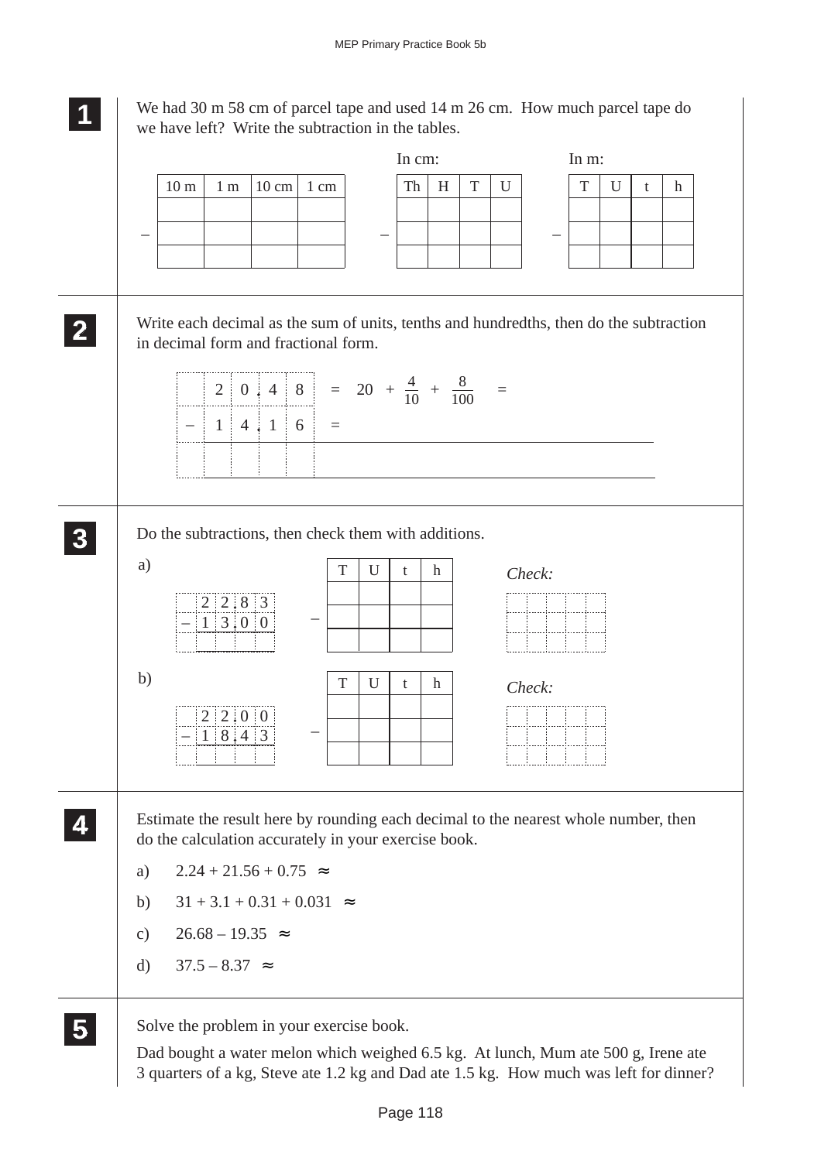**1 11**

We had 30 m 58 cm of parcel tape and used 14 m 26 cm. How much parcel tape do we have left? Write the subtraction in the tables.



Dad bought a water melon which weighed 6.5 kg. At lunch, Mum ate 500 g, Irene ate 3 quarters of a kg, Steve ate 1.2 kg and Dad ate 1.5 kg. How much was left for dinner?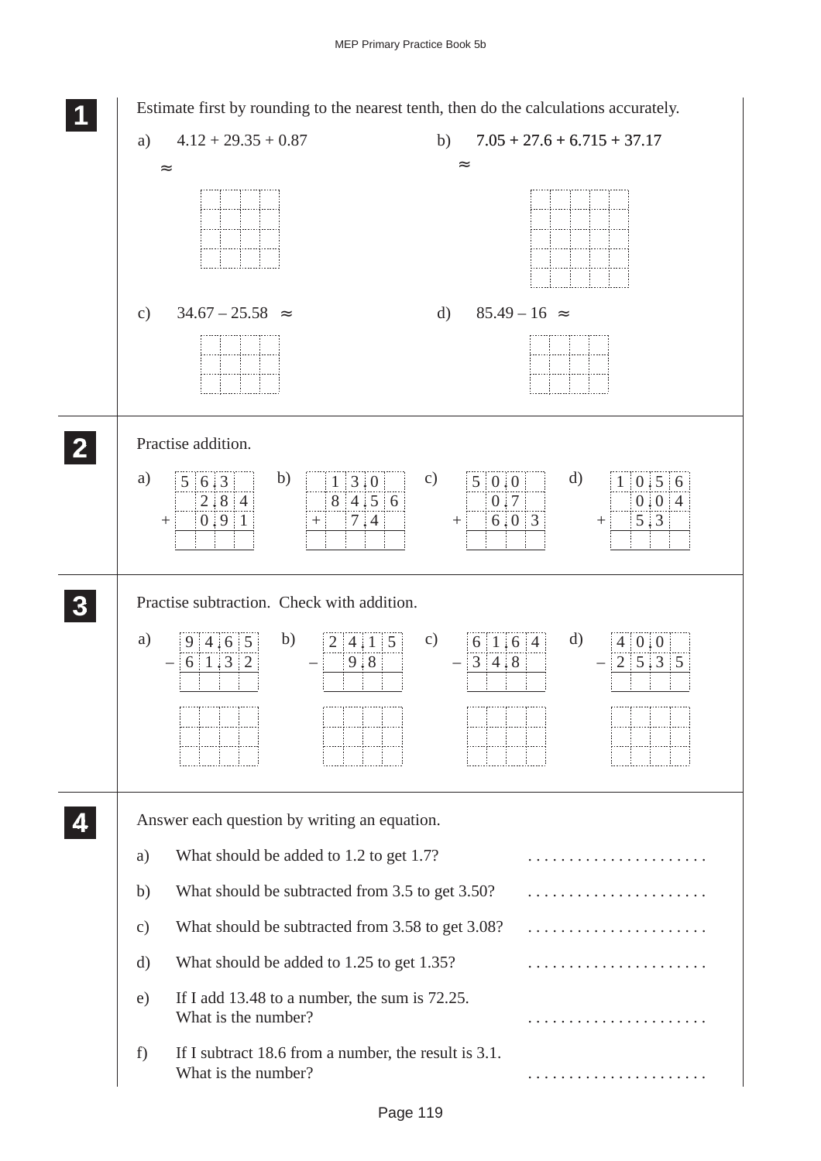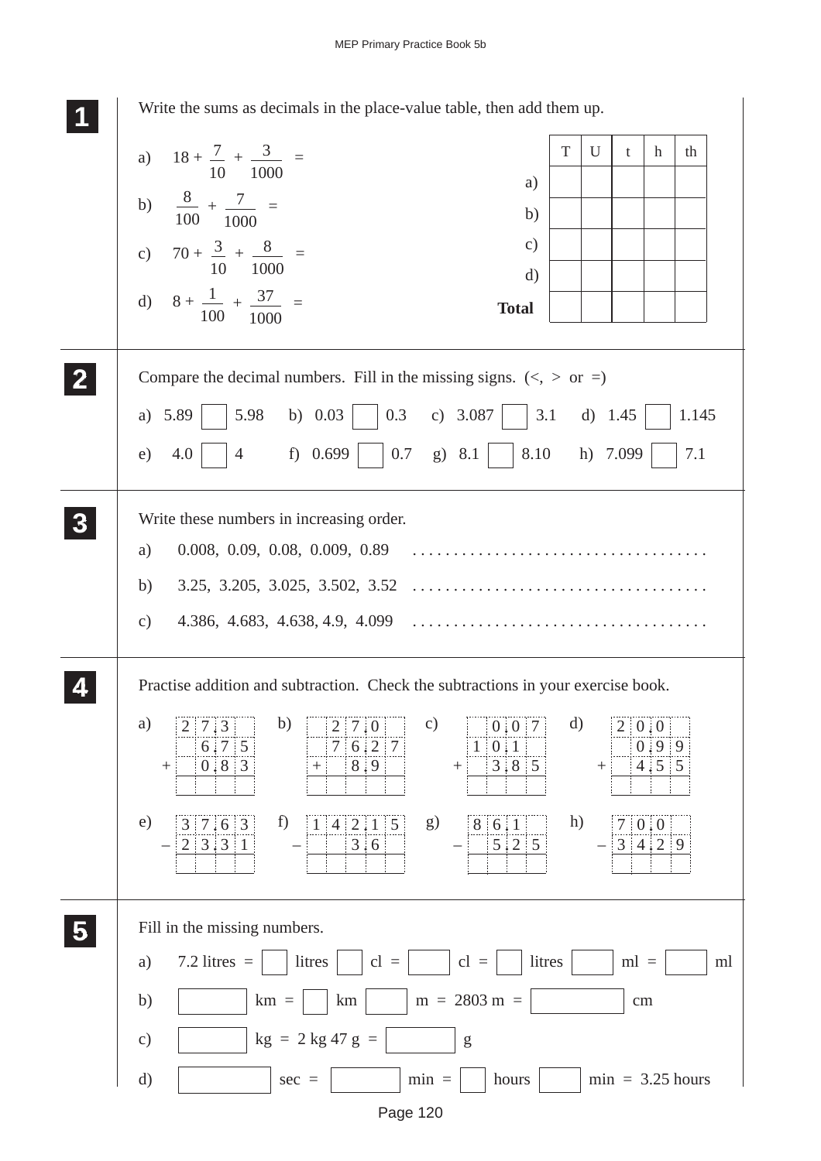| Write the sums as decimals in the place-value table, then add them up.                                                                                                                                                                                                                                                                                                                                                                                                |              |        |            |               |                    |
|-----------------------------------------------------------------------------------------------------------------------------------------------------------------------------------------------------------------------------------------------------------------------------------------------------------------------------------------------------------------------------------------------------------------------------------------------------------------------|--------------|--------|------------|---------------|--------------------|
| a) $18 + \frac{7}{10} + \frac{3}{1000} =$                                                                                                                                                                                                                                                                                                                                                                                                                             | T            | U      | t          | h             | th                 |
| a)                                                                                                                                                                                                                                                                                                                                                                                                                                                                    |              |        |            |               |                    |
| b) $\frac{8}{100} + \frac{7}{1000} =$<br>b)                                                                                                                                                                                                                                                                                                                                                                                                                           |              |        |            |               |                    |
| $\mathbf{c})$<br>c) $70 + \frac{3}{10} + \frac{8}{1000} =$<br>$\mathbf{d}$                                                                                                                                                                                                                                                                                                                                                                                            |              |        |            |               |                    |
| d) $8 + \frac{1}{100} + \frac{37}{1000} =$<br><b>Total</b>                                                                                                                                                                                                                                                                                                                                                                                                            |              |        |            |               |                    |
| Compare the decimal numbers. Fill in the missing signs. $(<, >$ or =)                                                                                                                                                                                                                                                                                                                                                                                                 |              |        |            |               |                    |
| a) $5.89$   $5.98$ b) $0.03$   $0.3$ c) $3.087$   $3.1$ d) $1.45$                                                                                                                                                                                                                                                                                                                                                                                                     |              |        |            |               | 1.145              |
| 4.0 $\begin{array}{ c c c c c c } \hline \end{array}$ 4 f) 0.699 0.7 g) 8.1 8.10 h) 7.099<br>e)                                                                                                                                                                                                                                                                                                                                                                       |              |        |            |               | 7.1                |
| Write these numbers in increasing order.                                                                                                                                                                                                                                                                                                                                                                                                                              |              |        |            |               |                    |
| a)                                                                                                                                                                                                                                                                                                                                                                                                                                                                    |              |        |            |               |                    |
| b)                                                                                                                                                                                                                                                                                                                                                                                                                                                                    |              |        |            |               |                    |
| $\mathbf{c})$                                                                                                                                                                                                                                                                                                                                                                                                                                                         |              |        |            |               |                    |
| Practise addition and subtraction. Check the subtractions in your exercise book.                                                                                                                                                                                                                                                                                                                                                                                      |              |        |            |               |                    |
| b)<br>a)<br>$\mathbf{c})$<br>$\vert 0 \vert 0 \vert 7 \vert$<br>2 7 3<br> 2 7 0                                                                                                                                                                                                                                                                                                                                                                                       | $\mathbf{d}$ |        | 2   0.0    |               |                    |
| 7 6 2 7<br>6:7:5<br>$1 \mid 0 \nmid 1$<br>$3.8$ 5<br>$0.8$ 3<br>8,9<br>$^{+}$<br>$^{+}$<br>$^{+}$                                                                                                                                                                                                                                                                                                                                                                     |              | $\! +$ |            | 0.99<br>4.5 5 |                    |
| e)<br>f<br>1 4 2.1 5<br>8 6 1<br>3 7 6 3<br>g)                                                                                                                                                                                                                                                                                                                                                                                                                        | h)           |        | 70.0       |               |                    |
| 2 3 3 1<br>5 2 5<br>3:6                                                                                                                                                                                                                                                                                                                                                                                                                                               |              |        | 3 4 2 9    |               |                    |
|                                                                                                                                                                                                                                                                                                                                                                                                                                                                       |              |        |            |               |                    |
| Fill in the missing numbers.                                                                                                                                                                                                                                                                                                                                                                                                                                          |              |        |            |               |                    |
| 7.2 litres $=$<br>litres<br>$cl =$<br>$cl =$<br>a)                                                                                                                                                                                                                                                                                                                                                                                                                    | litres       |        | $ml =$     |               | ml                 |
| $m = 2803 m =$<br>b)<br>$km =$<br>km                                                                                                                                                                                                                                                                                                                                                                                                                                  |              |        | $\,\rm cm$ |               |                    |
| $kg = 2 kg 47 g =$<br>$\mathbf{c})$<br>$\mathbf{g}% _{T}=\mathbf{g}_{T}=\mathbf{g}_{T}=\mathbf{g}_{T}=\mathbf{g}_{T}=\mathbf{g}_{T}=\mathbf{g}_{T}=\mathbf{g}_{T}=\mathbf{g}_{T}=\mathbf{g}_{T}=\mathbf{g}_{T}=\mathbf{g}_{T}=\mathbf{g}_{T}=\mathbf{g}_{T}=\mathbf{g}_{T}=\mathbf{g}_{T}=\mathbf{g}_{T}=\mathbf{g}_{T}=\mathbf{g}_{T}=\mathbf{g}_{T}=\mathbf{g}_{T}=\mathbf{g}_{T}=\mathbf{g}_{T}=\mathbf{g}_{T}=\mathbf{g}_{T}=\mathbf{g}_{T}=\mathbf{g}_{T}=\math$ |              |        |            |               |                    |
| d)<br>$min =$<br>hours<br>$sec =$                                                                                                                                                                                                                                                                                                                                                                                                                                     |              |        |            |               | $min = 3.25 hours$ |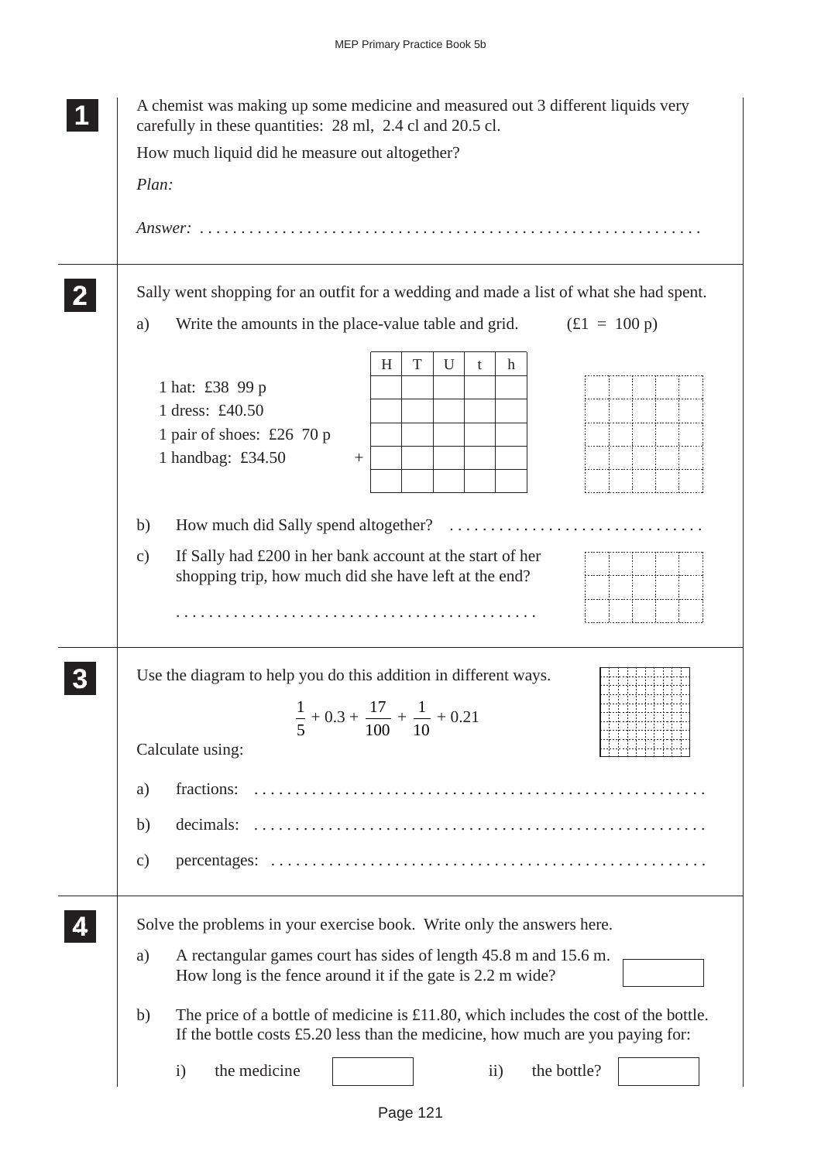| A chemist was making up some medicine and measured out 3 different liquids very<br>carefully in these quantities: 28 ml, 2.4 cl and 20.5 cl.                                     |
|----------------------------------------------------------------------------------------------------------------------------------------------------------------------------------|
| How much liquid did he measure out altogether?                                                                                                                                   |
| Plan:                                                                                                                                                                            |
|                                                                                                                                                                                  |
| Sally went shopping for an outfit for a wedding and made a list of what she had spent.                                                                                           |
| $f(1 = 100 p)$<br>Write the amounts in the place-value table and grid.<br>a)                                                                                                     |
| T<br>U<br>H<br>h<br>t                                                                                                                                                            |
| 1 hat: £38 99 p                                                                                                                                                                  |
| 1 dress: £40.50                                                                                                                                                                  |
| 1 pair of shoes: £26 70 p                                                                                                                                                        |
| 1 handbag: £34.50<br>$^{+}$                                                                                                                                                      |
|                                                                                                                                                                                  |
| b)                                                                                                                                                                               |
| If Sally had £200 in her bank account at the start of her<br>$\mathbf{c})$<br>shopping trip, how much did she have left at the end?                                              |
|                                                                                                                                                                                  |
| Use the diagram to help you do this addition in different ways.                                                                                                                  |
| $\frac{1}{5} + 0.3 + \frac{17}{100} + \frac{1}{10} + 0.21$                                                                                                                       |
| Calculate using:                                                                                                                                                                 |
| fractions:<br>a)                                                                                                                                                                 |
| b)                                                                                                                                                                               |
| $\mathbf{c})$                                                                                                                                                                    |
| Solve the problems in your exercise book. Write only the answers here.                                                                                                           |
| A rectangular games court has sides of length 45.8 m and 15.6 m.<br>a)<br>How long is the fence around it if the gate is 2.2 m wide?                                             |
| The price of a bottle of medicine is $£11.80$ , which includes the cost of the bottle.<br>b)<br>If the bottle costs $£5.20$ less than the medicine, how much are you paying for: |
| the medicine<br>the bottle?<br>$\ddot{i}$<br>$\mathbf{i}$                                                                                                                        |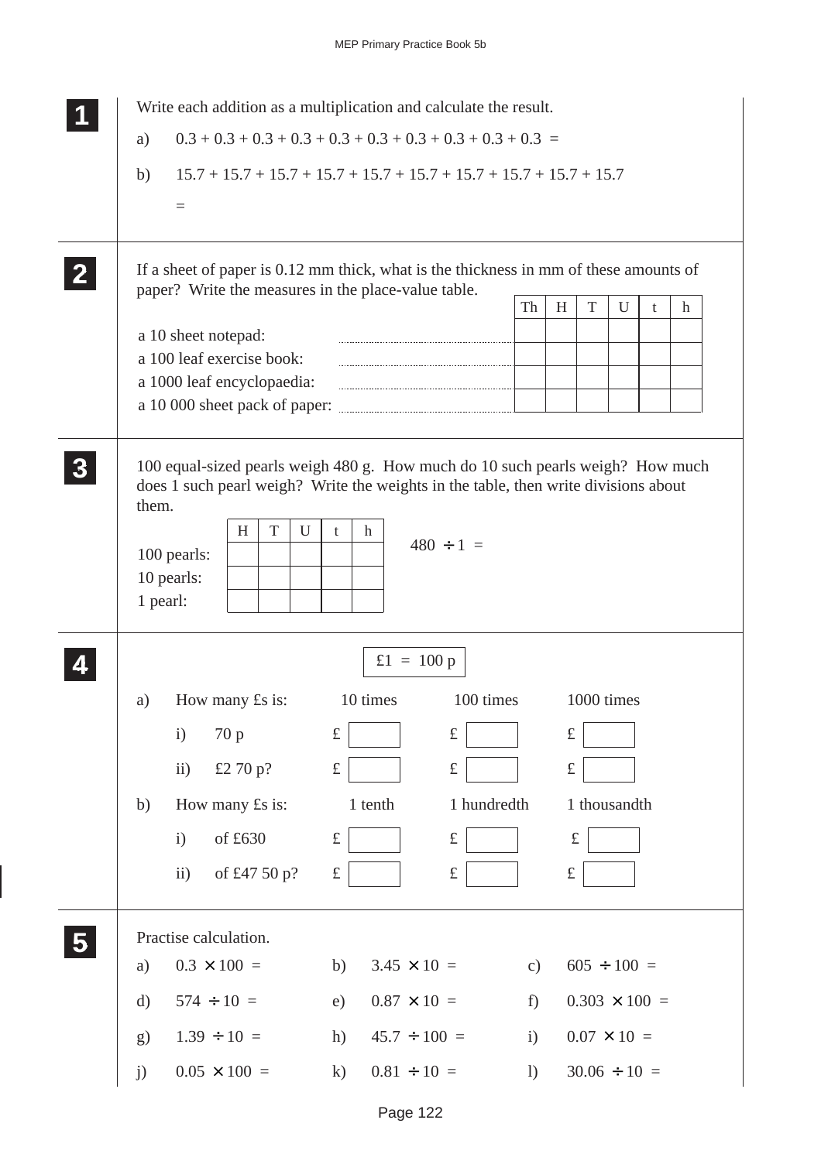|                  |                   |                                          | Write each addition as a multiplication and calculate the result.                                                                                                                                 |               |           |                      |   |   |
|------------------|-------------------|------------------------------------------|---------------------------------------------------------------------------------------------------------------------------------------------------------------------------------------------------|---------------|-----------|----------------------|---|---|
|                  | a)                |                                          |                                                                                                                                                                                                   |               |           |                      |   |   |
|                  | b)                |                                          | $15.7 + 15.7 + 15.7 + 15.7 + 15.7 + 15.7 + 15.7 + 15.7 + 15.7 + 15.7$                                                                                                                             |               |           |                      |   |   |
|                  |                   | $\equiv$                                 |                                                                                                                                                                                                   |               |           |                      |   |   |
|                  |                   |                                          |                                                                                                                                                                                                   |               |           |                      |   |   |
| $\mathbf{2}$     |                   |                                          | If a sheet of paper is 0.12 mm thick, what is the thickness in mm of these amounts of                                                                                                             |               |           |                      |   |   |
|                  |                   |                                          | paper? Write the measures in the place-value table.                                                                                                                                               | Th            | H<br>T    | U                    | t | h |
|                  |                   | a 10 sheet notepad:                      |                                                                                                                                                                                                   |               |           |                      |   |   |
|                  |                   | a 100 leaf exercise book:                |                                                                                                                                                                                                   |               |           |                      |   |   |
|                  |                   | a 1000 leaf encyclopaedia:               |                                                                                                                                                                                                   |               |           |                      |   |   |
|                  |                   |                                          | a 10 000 sheet pack of paper:                                                                                                                                                                     |               |           |                      |   |   |
| $\boldsymbol{3}$ | them.<br>1 pearl: | H<br>T<br>U<br>100 pearls:<br>10 pearls: | 100 equal-sized pearls weigh 480 g. How much do 10 such pearls weigh? How much<br>does 1 such pearl weigh? Write the weights in the table, then write divisions about<br>h<br>t<br>$480 \div 1 =$ |               |           |                      |   |   |
|                  |                   |                                          | £1 = 100 p                                                                                                                                                                                        |               |           |                      |   |   |
|                  | a)                | How many $\pounds$ s is:                 | 10 times<br>100 times                                                                                                                                                                             |               |           | 1000 times           |   |   |
|                  |                   | $\mathbf{i}$<br>70 p                     | $\pounds$<br>$\pounds$                                                                                                                                                                            |               | $\pounds$ |                      |   |   |
|                  |                   | £2 70 p?<br>$\ddot{i}$                   | $\pounds$<br>$\pounds$                                                                                                                                                                            |               | $\pounds$ |                      |   |   |
|                  | b)                | How many £s is:                          | 1 tenth<br>1 hundredth                                                                                                                                                                            |               |           | 1 thousandth         |   |   |
|                  |                   | of £630<br>$\mathbf{i}$                  | $\pounds$<br>$\pounds$                                                                                                                                                                            |               | $\pounds$ |                      |   |   |
|                  |                   | of £47 50 p?<br>$\mathbf{ii}$            | $\pounds$<br>$\pounds$                                                                                                                                                                            |               | $\pounds$ |                      |   |   |
|                  |                   |                                          |                                                                                                                                                                                                   |               |           |                      |   |   |
| 5                |                   | Practise calculation.                    |                                                                                                                                                                                                   |               |           |                      |   |   |
|                  | a)                | $0.3 \times 100 =$                       | $3.45 \times 10 =$<br>b)                                                                                                                                                                          | $\mathbf{c})$ |           | $605 \div 100 =$     |   |   |
|                  | $\rm d)$          | $574 \div 10 =$                          | $0.87 \times 10 =$<br>e)                                                                                                                                                                          | f)            |           | $0.303 \times 100 =$ |   |   |
|                  | g)                | $1.39 \div 10 =$                         | $45.7 \div 100 =$<br>h)                                                                                                                                                                           | $\mathbf{i}$  |           | $0.07 \times 10 =$   |   |   |
|                  | j)                | $0.05 \times 100 =$                      | $0.81 \div 10 =$<br>$\mathbf{k}$                                                                                                                                                                  | 1)            |           | $30.06 \div 10 =$    |   |   |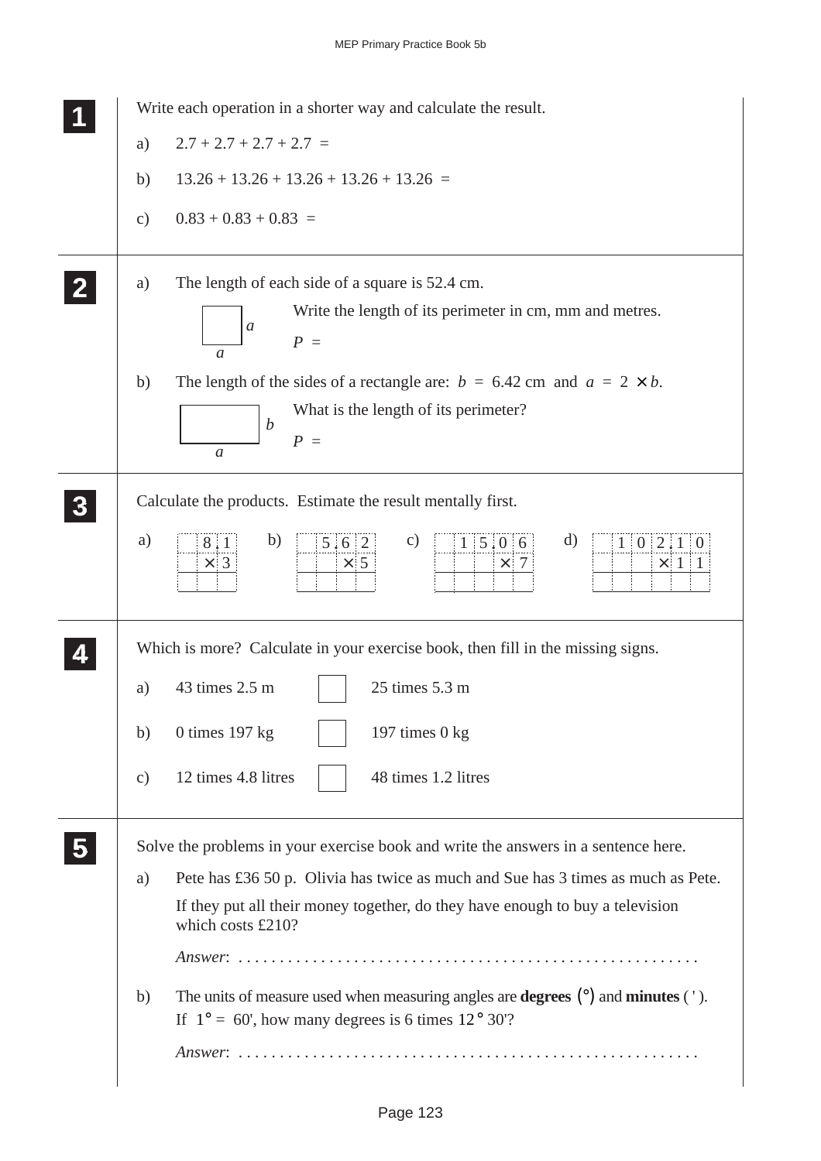|                 | Write each operation in a shorter way and calculate the result.                                                                                                         |
|-----------------|-------------------------------------------------------------------------------------------------------------------------------------------------------------------------|
| a)              | $2.7 + 2.7 + 2.7 + 2.7 =$                                                                                                                                               |
| b)              | $13.26 + 13.26 + 13.26 + 13.26 + 13.26 =$                                                                                                                               |
| $\mathcal{C}$ ) | $0.83 + 0.83 + 0.83 =$                                                                                                                                                  |
| a)              | The length of each side of a square is 52.4 cm.<br>Write the length of its perimeter in cm, mm and metres.<br>$\mathfrak a$<br>$P =$<br>$\mathfrak a$                   |
| b)              | The length of the sides of a rectangle are: $b = 6.42$ cm and $a = 2 \times b$ .<br>What is the length of its perimeter?<br>$\boldsymbol{b}$<br>$P =$<br>$\mathfrak a$  |
|                 | Calculate the products. Estimate the result mentally first.                                                                                                             |
| a)              | b)<br>d)<br>$\mathbf{c})$<br>$1 \,   \, 5 \,   \, 0 \,   \, 6 \,  $<br>5:6:2<br>1   0   2   1   0<br>8:1<br>$\times$ 3<br>$\times 5$<br>$\times$ 7<br>$\times$ 1 1      |
|                 | Which is more? Calculate in your exercise book, then fill in the missing signs.                                                                                         |
| a)              | 25 times 5.3 m<br>43 times 2.5 m                                                                                                                                        |
| b)              | 0 times $197$ kg<br>197 times $0$ kg                                                                                                                                    |
| $\mathbf{c})$   | 12 times 4.8 litres<br>48 times 1.2 litres                                                                                                                              |
|                 | Solve the problems in your exercise book and write the answers in a sentence here.                                                                                      |
| a)              | Pete has £36 50 p. Olivia has twice as much and Sue has 3 times as much as Pete.                                                                                        |
|                 | If they put all their money together, do they have enough to buy a television<br>which costs £210?                                                                      |
| b)              | The units of measure used when measuring angles are <b>degrees</b> $(\circ)$ and <b>minutes</b> $(\cdot)$ .<br>If $1^\circ$ = 60', how many degrees is 6 times 12° 30'? |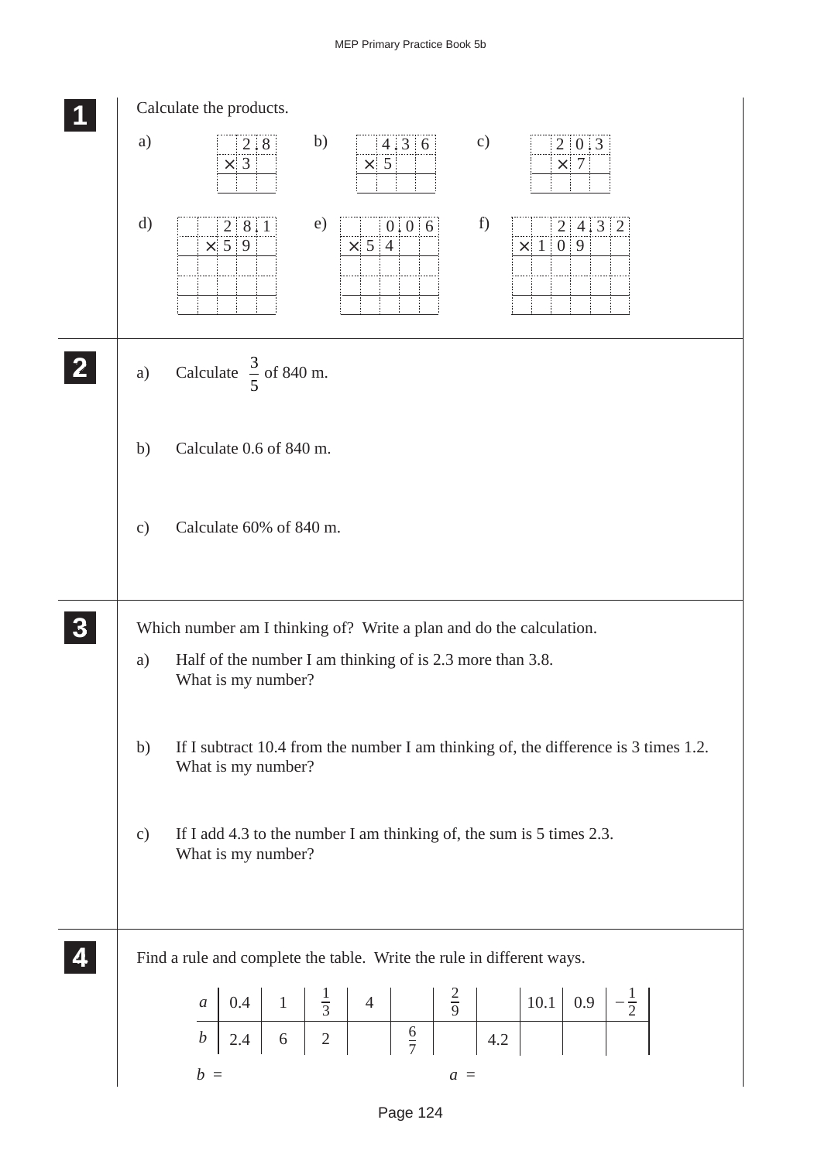|                  |               | Calculate the products.                                                                                                                                |
|------------------|---------------|--------------------------------------------------------------------------------------------------------------------------------------------------------|
|                  | a)            | b)<br>$\mathbf{c})$<br>4.36<br>2.8<br>2 0 3<br>$\times$ 3<br>$\times$ 5<br>$\times$ 7                                                                  |
|                  | $\rm d)$      | f)<br>e)<br>0:0:6<br>28.1<br>2 4:3 2<br>$\times$ 54<br>$\times$ 5 9<br>$\times$   1   0   9                                                            |
| $\mathbf{2}$     | a)            | Calculate $\frac{3}{5}$ of 840 m.                                                                                                                      |
|                  | b)            | Calculate 0.6 of 840 m.                                                                                                                                |
|                  | $\mathbf{c})$ | Calculate 60% of 840 m.                                                                                                                                |
| $\boldsymbol{3}$ |               | Which number am I thinking of? Write a plan and do the calculation.                                                                                    |
|                  | a)            | Half of the number I am thinking of is 2.3 more than 3.8.<br>What is my number?                                                                        |
|                  | b)            | If I subtract 10.4 from the number I am thinking of, the difference is 3 times 1.2.<br>What is my number?                                              |
|                  | $\mathbf{c})$ | If I add 4.3 to the number I am thinking of, the sum is 5 times 2.3.<br>What is my number?                                                             |
|                  |               | Find a rule and complete the table. Write the rule in different ways.                                                                                  |
|                  |               | $-\frac{1}{2}$<br>$10.1 \begin{array}{ c } 0.9 \end{array}$<br>0.4<br>$\begin{pmatrix} 1 \\ -1 \end{pmatrix}$<br>$\boldsymbol{a}$                      |
|                  |               | $\begin{array}{c c c c c} 1 & \frac{1}{3} & 4 & \frac{2}{9} \\ \hline 6 & 2 & \frac{6}{7} & \frac{1}{1} \end{array}$<br>$\boldsymbol{b}$<br>4.2<br>2.4 |
|                  |               | $b =$<br>$a =$                                                                                                                                         |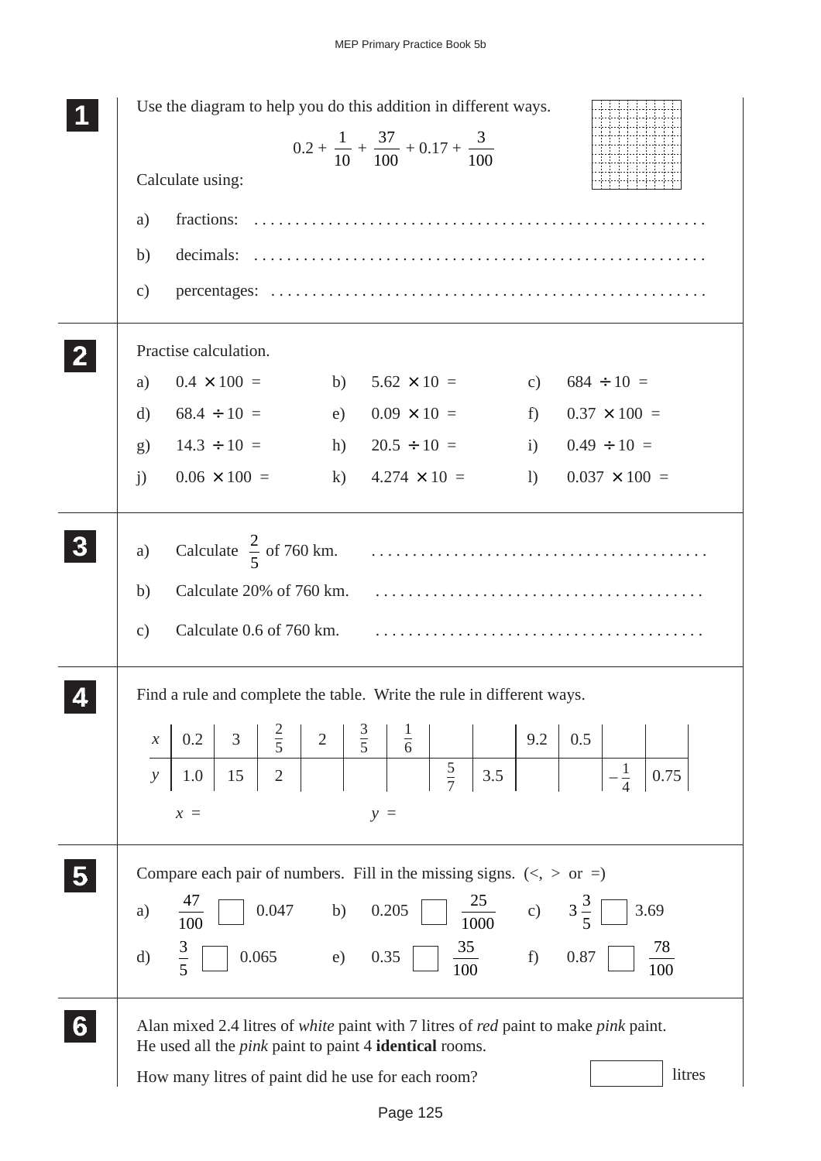| Use the diagram to help you do this addition in different ways.<br>$0.2 + \frac{1}{10} + \frac{37}{100} + 0.17 + \frac{3}{100}$                                                                                                                                                         |
|-----------------------------------------------------------------------------------------------------------------------------------------------------------------------------------------------------------------------------------------------------------------------------------------|
| Calculate using:                                                                                                                                                                                                                                                                        |
| fractions:<br>a)                                                                                                                                                                                                                                                                        |
| b)                                                                                                                                                                                                                                                                                      |
| $\mathbf{c})$                                                                                                                                                                                                                                                                           |
| Practise calculation.                                                                                                                                                                                                                                                                   |
| $0.4 \times 100 =$<br>$5.62 \times 10 =$<br>$684 \div 10 =$<br>b)<br>a)<br>c)                                                                                                                                                                                                           |
| $68.4 \div 10 =$<br>$0.09 \times 10 =$<br>$0.37 \times 100 =$<br>$f$ )<br>d)<br>e)                                                                                                                                                                                                      |
| $14.3 \div 10 =$<br>$20.5 \div 10 =$<br>$0.49 \div 10 =$<br>i)<br>h)<br>$\mathbf{g}$                                                                                                                                                                                                    |
| $0.06 \times 100 =$<br>$4.274 \times 10 =$<br>k)<br>$0.037 \times 100 =$<br>$\mathbf{j}$<br>$\left( \right)$                                                                                                                                                                            |
| Calculate $\frac{2}{5}$ of 760 km.<br>a)<br>Calculate 20% of 760 km.<br>b)                                                                                                                                                                                                              |
| Calculate 0.6 of 760 km.<br>$\mathbf{c})$<br>Find a rule and complete the table. Write the rule in different ways.<br>$rac{1}{6}$<br>$rac{3}{5}$<br>$rac{2}{5}$<br>0.5<br>0.2<br>3 <sup>7</sup><br>$2 \mid$<br>9.2<br>$\boldsymbol{\mathcal{X}}$<br>$\overline{2}$<br>$\frac{1}{\cdot}$ |
| $rac{5}{7}$<br>3.5<br>0.75<br>15<br>1.0<br>$\mathcal{Y}$<br>$x =$<br>$y =$                                                                                                                                                                                                              |
| Compare each pair of numbers. Fill in the missing signs. $(<, >$ or =)<br>$rac{25}{1000}$ c) $3\frac{3}{5}$<br>$0.047$ b) $0.205$<br>3.69<br>a)<br>100                                                                                                                                  |
| f<br>$\frac{3}{5}$<br>$\frac{35}{100}$<br>78<br>$0.065$ e) 0.35<br>0.87<br>$\mathbf{d}$<br>100                                                                                                                                                                                          |
| Alan mixed 2.4 litres of white paint with 7 litres of red paint to make pink paint.<br>He used all the <i>pink</i> paint to paint 4 <b>identical</b> rooms.<br>litres<br>How many litres of paint did he use for each room?                                                             |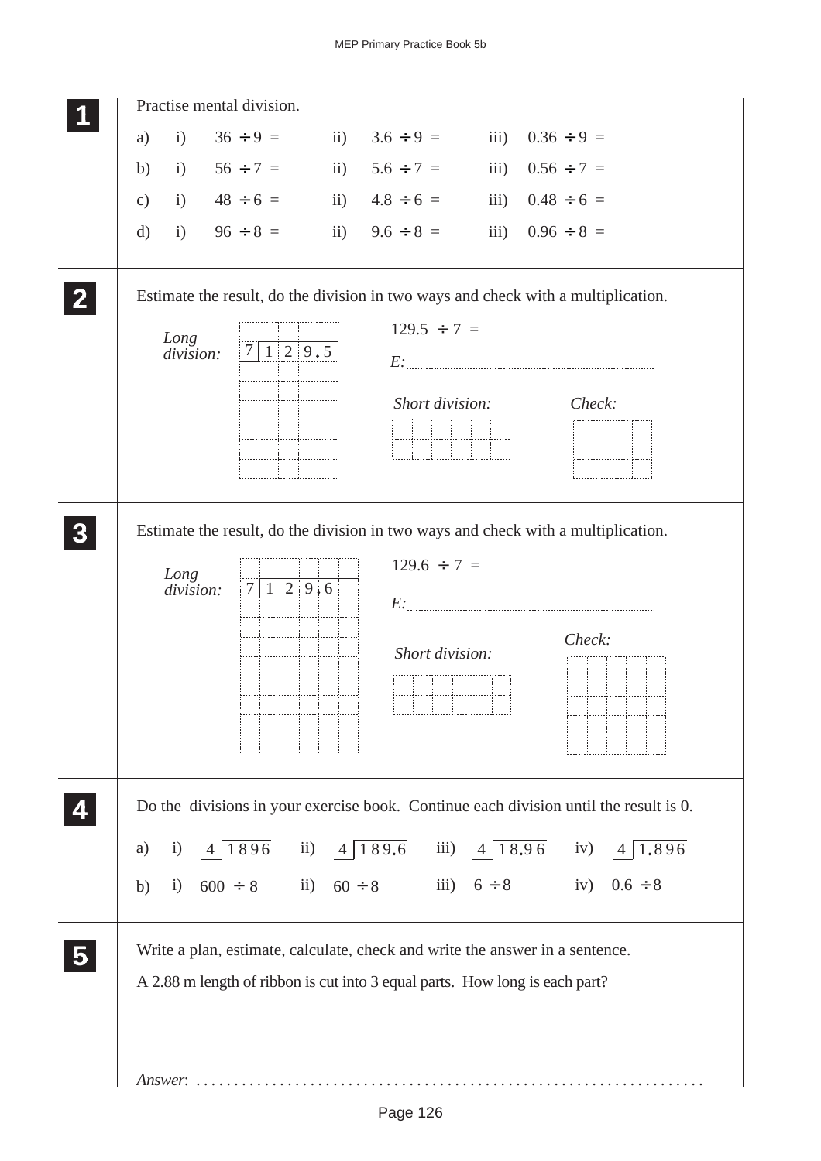| $36 \div 9 =$ ii) $3.6 \div 9 =$<br>iii) $0.36 \div 9 =$<br>i)<br>a)<br>i) $56 \div 7 =$<br>ii) $5.6 \div 7 =$<br>iii) $0.56 \div 7 =$<br>b)<br>i) $48 \div 6 =$ ii) $4.8 \div 6 =$<br>iii) $0.48 \div 6 =$<br>$\mathbf{c})$<br>i) $96 \div 8 =$ ii) $9.6 \div 8 =$<br>iii) $0.96 \div 8 =$<br>$\rm d)$<br>Estimate the result, do the division in two ways and check with a multiplication.<br>$129.5 \div 7 =$<br>Long<br>$1 \,   \, 2 \,   \, 9 \,   \, 5 \,  $<br>7<br>division:<br>Short division:<br>Check:<br>Estimate the result, do the division in two ways and check with a multiplication.<br>$129.6 \div 7 =$<br>Long<br>$1 \,   \, 2 \,   \, 9 \,   \, 6 \,  $<br>$7\overline{ }$<br>division:<br>Check: |
|------------------------------------------------------------------------------------------------------------------------------------------------------------------------------------------------------------------------------------------------------------------------------------------------------------------------------------------------------------------------------------------------------------------------------------------------------------------------------------------------------------------------------------------------------------------------------------------------------------------------------------------------------------------------------------------------------------------------|
|                                                                                                                                                                                                                                                                                                                                                                                                                                                                                                                                                                                                                                                                                                                        |
|                                                                                                                                                                                                                                                                                                                                                                                                                                                                                                                                                                                                                                                                                                                        |
|                                                                                                                                                                                                                                                                                                                                                                                                                                                                                                                                                                                                                                                                                                                        |
|                                                                                                                                                                                                                                                                                                                                                                                                                                                                                                                                                                                                                                                                                                                        |
|                                                                                                                                                                                                                                                                                                                                                                                                                                                                                                                                                                                                                                                                                                                        |
|                                                                                                                                                                                                                                                                                                                                                                                                                                                                                                                                                                                                                                                                                                                        |
|                                                                                                                                                                                                                                                                                                                                                                                                                                                                                                                                                                                                                                                                                                                        |
|                                                                                                                                                                                                                                                                                                                                                                                                                                                                                                                                                                                                                                                                                                                        |
|                                                                                                                                                                                                                                                                                                                                                                                                                                                                                                                                                                                                                                                                                                                        |
|                                                                                                                                                                                                                                                                                                                                                                                                                                                                                                                                                                                                                                                                                                                        |
|                                                                                                                                                                                                                                                                                                                                                                                                                                                                                                                                                                                                                                                                                                                        |
| Short division:                                                                                                                                                                                                                                                                                                                                                                                                                                                                                                                                                                                                                                                                                                        |
| Do the divisions in your exercise book. Continue each division until the result is 0.                                                                                                                                                                                                                                                                                                                                                                                                                                                                                                                                                                                                                                  |
| i) $4\overline{)1896}$ ii) $4\overline{)189.6}$ iii) $4\overline{)18.96}$ iv) $4\overline{)1.896}$<br>a)                                                                                                                                                                                                                                                                                                                                                                                                                                                                                                                                                                                                               |
| i) $600 \div 8$ ii) $60 \div 8$ iii) $6 \div 8$ iv) $0.6 \div 8$<br>b)                                                                                                                                                                                                                                                                                                                                                                                                                                                                                                                                                                                                                                                 |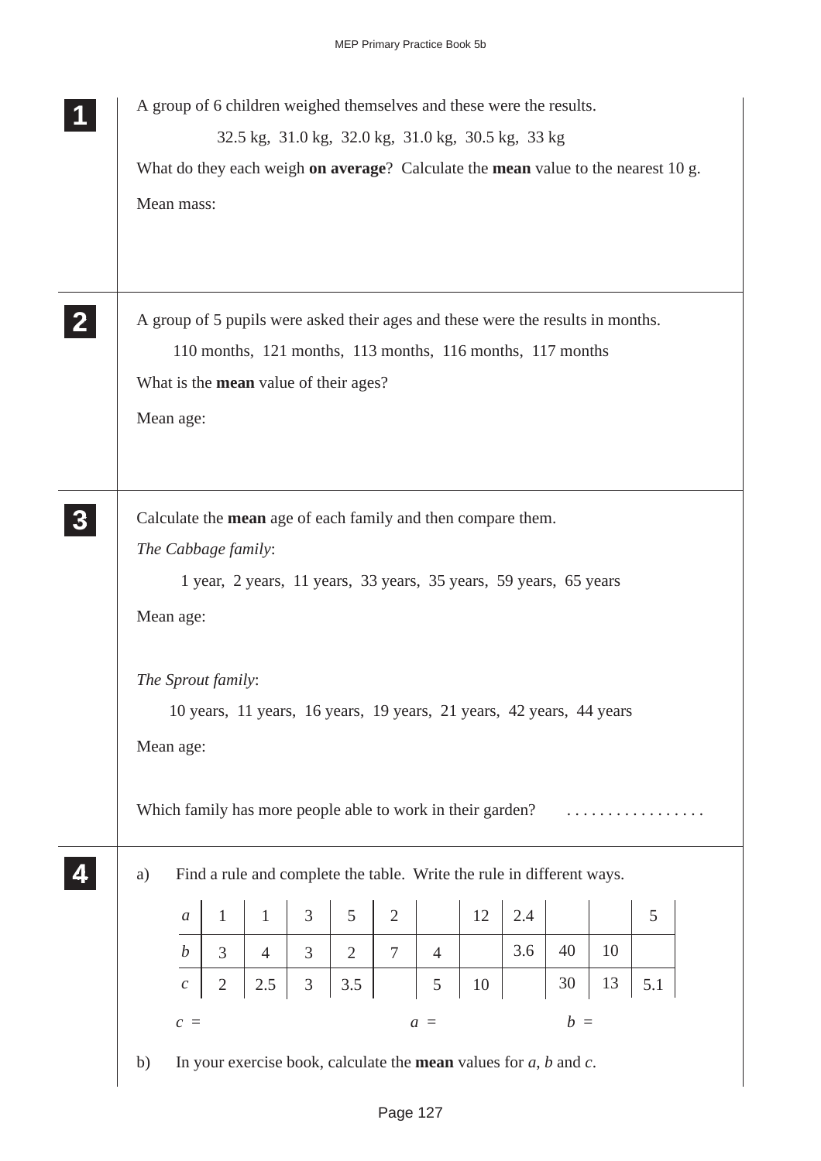|                |    |                  |                     |                |   |                                              |                |                |                                                            | A group of 6 children weighed themselves and these were the results.            |       |    |                                                                                   |  |
|----------------|----|------------------|---------------------|----------------|---|----------------------------------------------|----------------|----------------|------------------------------------------------------------|---------------------------------------------------------------------------------|-------|----|-----------------------------------------------------------------------------------|--|
|                |    |                  |                     |                |   |                                              |                |                |                                                            | 32.5 kg, 31.0 kg, 32.0 kg, 31.0 kg, 30.5 kg, 33 kg                              |       |    |                                                                                   |  |
|                |    |                  |                     |                |   |                                              |                |                |                                                            |                                                                                 |       |    | What do they each weigh on average? Calculate the mean value to the nearest 10 g. |  |
|                |    | Mean mass:       |                     |                |   |                                              |                |                |                                                            |                                                                                 |       |    |                                                                                   |  |
|                |    |                  |                     |                |   |                                              |                |                |                                                            |                                                                                 |       |    |                                                                                   |  |
| $\mathbf{2}$   |    |                  |                     |                |   |                                              |                |                |                                                            | A group of 5 pupils were asked their ages and these were the results in months. |       |    |                                                                                   |  |
|                |    |                  |                     |                |   |                                              |                |                |                                                            | 110 months, 121 months, 113 months, 116 months, 117 months                      |       |    |                                                                                   |  |
|                |    |                  |                     |                |   | What is the <b>mean</b> value of their ages? |                |                |                                                            |                                                                                 |       |    |                                                                                   |  |
|                |    | Mean age:        |                     |                |   |                                              |                |                |                                                            |                                                                                 |       |    |                                                                                   |  |
|                |    |                  |                     |                |   |                                              |                |                |                                                            |                                                                                 |       |    |                                                                                   |  |
| 3 <sup>1</sup> |    |                  |                     |                |   |                                              |                |                |                                                            | Calculate the mean age of each family and then compare them.                    |       |    |                                                                                   |  |
|                |    |                  | The Cabbage family: |                |   |                                              |                |                |                                                            |                                                                                 |       |    |                                                                                   |  |
|                |    |                  |                     |                |   |                                              |                |                |                                                            | 1 year, 2 years, 11 years, 33 years, 35 years, 59 years, 65 years               |       |    |                                                                                   |  |
|                |    | Mean age:        |                     |                |   |                                              |                |                |                                                            |                                                                                 |       |    |                                                                                   |  |
|                |    |                  |                     |                |   |                                              |                |                |                                                            |                                                                                 |       |    |                                                                                   |  |
|                |    |                  | The Sprout family:  |                |   |                                              |                |                |                                                            |                                                                                 |       |    |                                                                                   |  |
|                |    |                  |                     |                |   |                                              |                |                |                                                            | 10 years, 11 years, 16 years, 19 years, 21 years, 42 years, 44 years            |       |    |                                                                                   |  |
|                |    | Mean age:        |                     |                |   |                                              |                |                |                                                            |                                                                                 |       |    |                                                                                   |  |
|                |    |                  |                     |                |   |                                              |                |                | Which family has more people able to work in their garden? |                                                                                 |       |    |                                                                                   |  |
|                |    |                  |                     |                |   |                                              |                |                |                                                            |                                                                                 |       |    |                                                                                   |  |
|                | a) |                  |                     |                |   |                                              |                |                |                                                            | Find a rule and complete the table. Write the rule in different ways.           |       |    |                                                                                   |  |
|                |    | $\boldsymbol{a}$ | $\mathbf{1}$        | $\mathbf{1}$   | 3 | 5                                            | $\overline{2}$ |                | 12                                                         | 2.4                                                                             |       |    | 5                                                                                 |  |
|                |    | $\boldsymbol{b}$ | $\overline{3}$      | $\overline{4}$ | 3 | $\overline{2}$                               | $\overline{7}$ | $\overline{4}$ |                                                            | 3.6                                                                             | 40    | 10 |                                                                                   |  |
|                |    | $\mathcal C$     | $\sqrt{2}$          | 2.5            | 3 | 3.5                                          |                | 5              | 10                                                         |                                                                                 | 30    | 13 | 5.1                                                                               |  |
|                |    |                  |                     |                |   |                                              |                | $a =$          |                                                            |                                                                                 | $b =$ |    |                                                                                   |  |
|                |    | $c =$            |                     |                |   |                                              |                |                |                                                            |                                                                                 |       |    |                                                                                   |  |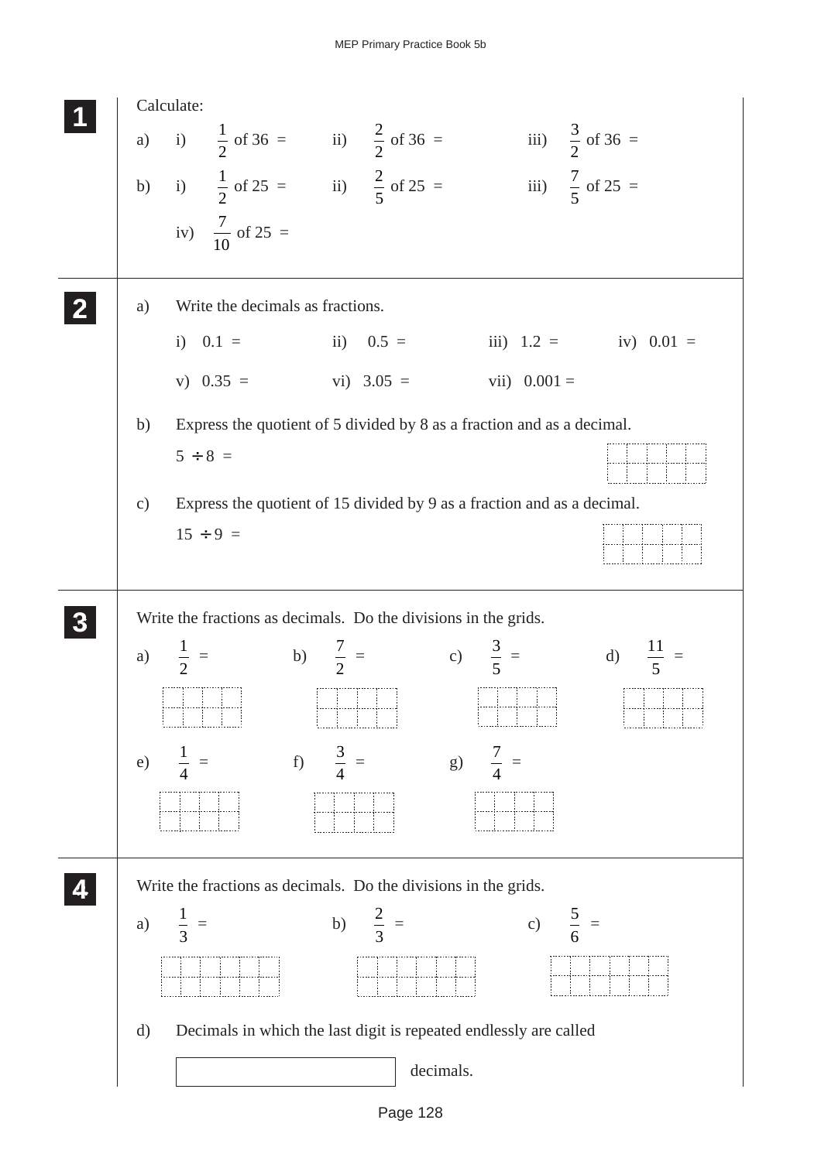

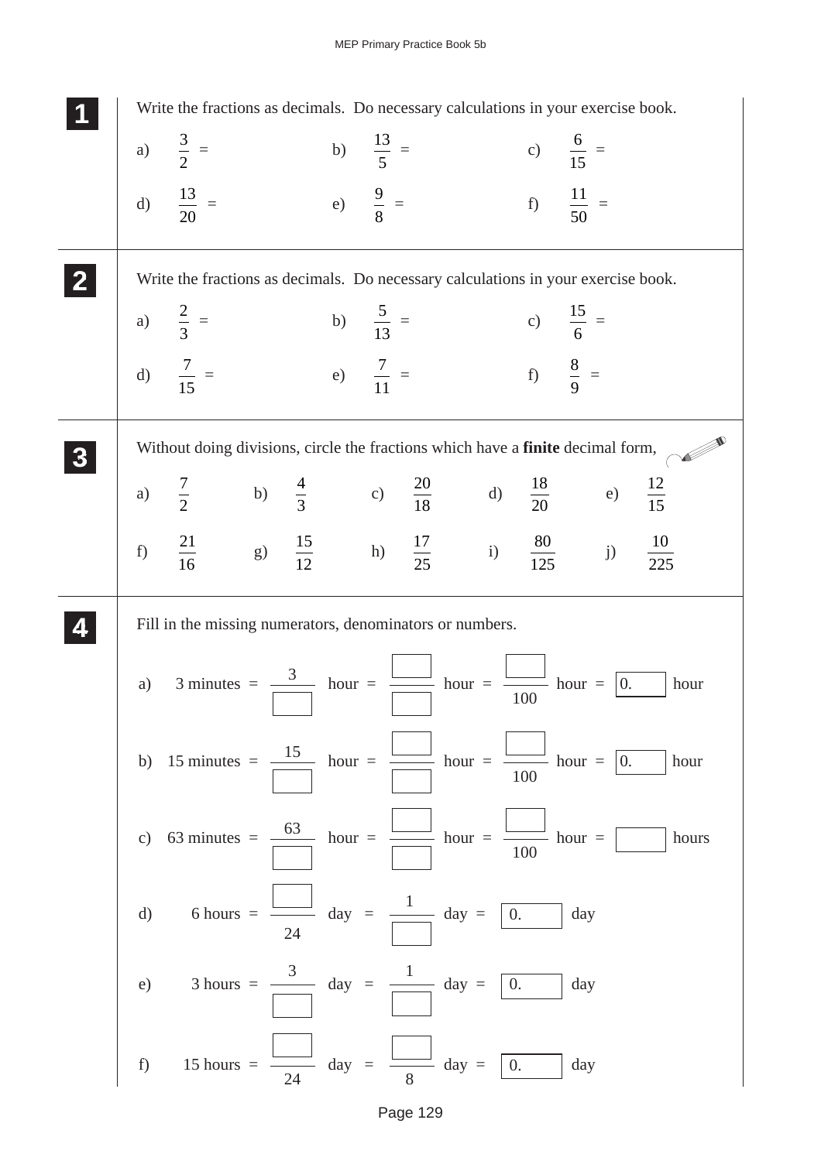|    | Write the fractions as decimals. Do necessary calculations in your exercise book.                                               |    |                     |  |                     |                    |                      |       |
|----|---------------------------------------------------------------------------------------------------------------------------------|----|---------------------|--|---------------------|--------------------|----------------------|-------|
|    | a) $\frac{3}{2}$ =                                                                                                              |    | b) $\frac{13}{5}$ = |  | c) $\frac{6}{15}$ = |                    |                      |       |
|    | d) $\frac{13}{20}$ =                                                                                                            |    | e) $\frac{9}{8}$ =  |  |                     |                    | f) $\frac{11}{50}$ = |       |
|    | Write the fractions as decimals. Do necessary calculations in your exercise book.                                               |    |                     |  |                     |                    |                      |       |
|    | a) $\frac{2}{3}$ =                                                                                                              |    | b) $\frac{5}{13}$ = |  | c) $\frac{15}{6}$ = |                    |                      |       |
|    | d) $\frac{7}{15}$ =                                                                                                             |    | e) $\frac{7}{11}$ = |  |                     | f) $\frac{8}{9}$ = |                      |       |
|    | Without doing divisions, circle the fractions which have a finite decimal form,                                                 |    |                     |  |                     |                    |                      |       |
|    | a) $\frac{7}{2}$ b) $\frac{4}{3}$ c) $\frac{20}{18}$ d) $\frac{18}{20}$ e) $\frac{12}{15}$                                      |    |                     |  |                     |                    |                      |       |
|    | f) $\frac{21}{16}$ g) $\frac{15}{12}$ h) $\frac{17}{25}$ i) $\frac{80}{125}$ j) $\frac{10}{225}$                                |    |                     |  |                     |                    |                      |       |
|    | Fill in the missing numerators, denominators or numbers.                                                                        |    |                     |  |                     |                    |                      |       |
| a) | 3 minutes = $\frac{3}{\boxed{}}$ hour = $\frac{\boxed{}}{\boxed{}}$ hour = $\frac{\boxed{}}{\boxed{0.}}$ hour = $\boxed{0.}$    |    |                     |  |                     |                    |                      | hour  |
|    | b) 15 minutes = $\frac{15}{\sqrt{2}}$ hour = $\frac{15}{\sqrt{2}}$ hour = $\frac{1}{\sqrt{2}}$ hour = $\frac{1}{\sqrt{2}}$ hour |    |                     |  |                     | 100                |                      |       |
|    | c) 63 minutes = $\frac{63}{\sqrt{2}}$ hour = $\frac{1}{\sqrt{2}}$ hour = $\frac{1}{\sqrt{2}}$ hour = $\frac{1}{\sqrt{2}}$       |    |                     |  |                     | 100                |                      | hours |
| d) | 6 hours = $\frac{\boxed{\phantom{a}}}{\phantom{a}} \text{day} = \frac{1}{\phantom{a}} \text{day} = \boxed{0}$                   | 24 |                     |  |                     |                    | day                  |       |
|    | e) 3 hours = $\frac{3}{\sqrt{3}} \text{ day } = \frac{1}{\sqrt{3}} \text{ day } = \boxed{0.}$                                   |    |                     |  |                     |                    | day                  |       |
|    | f) 15 hours = $\frac{1}{24}$ day = $\frac{1}{8}$ day = 0.                                                                       |    |                     |  |                     |                    | day                  |       |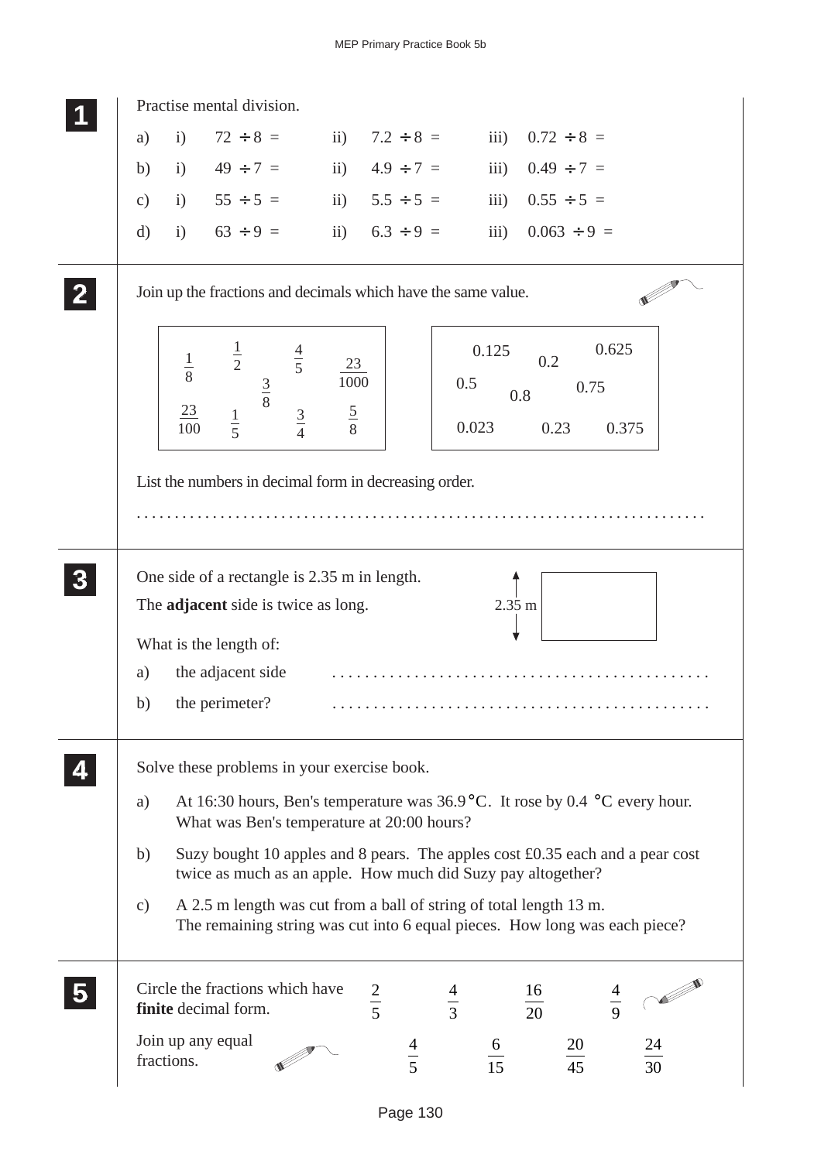| Practise mental division.                                                                                                                                           |                                     |                                                     |                 |
|---------------------------------------------------------------------------------------------------------------------------------------------------------------------|-------------------------------------|-----------------------------------------------------|-----------------|
| $72 \div 8 =$<br>$\mathbf{i}$<br>$\mathbf{ii}$ )<br>a)                                                                                                              | $7.2 \div 8 =$                      | $0.72 \div 8 =$<br>$\overline{iii}$ )               |                 |
| $49 \div 7 =$<br>i)<br>b)                                                                                                                                           | $\overline{11}$ )<br>$4.9 \div 7 =$ | iii)<br>$0.49 \div 7 =$                             |                 |
| $55 \div 5 =$<br>i)<br>c)                                                                                                                                           | $5.5 \div 5 =$<br>$\mathbf{ii}$     | $0.55 \div 5 =$<br>iii)                             |                 |
| $63 \div 9 =$<br>$\mathbf{i}$<br>$\mathrm{d}$                                                                                                                       | ii) $6.3 \div 9 =$                  | iii)<br>$0.063 \div 9 =$                            |                 |
| Join up the fractions and decimals which have the same value.                                                                                                       |                                     |                                                     |                 |
| $\frac{1}{2}$<br>$\frac{4}{5}$<br>$\frac{1}{8}$<br>$rac{3}{8}$<br>$\frac{23}{2}$<br>$rac{3}{4}$<br>$\frac{1}{5}$<br>100                                             | 23<br>1000<br>$rac{5}{8}$           | 0.125<br>0.2<br>0.5<br>0.75<br>0.8<br>0.023<br>0.23 | 0.625<br>0.375  |
| List the numbers in decimal form in decreasing order.                                                                                                               |                                     |                                                     |                 |
| One side of a rectangle is 2.35 m in length.<br>The <b>adjacent</b> side is twice as long.                                                                          |                                     | 2.35 m                                              |                 |
| What is the length of:                                                                                                                                              |                                     |                                                     |                 |
| the adjacent side<br>a)                                                                                                                                             |                                     |                                                     |                 |
| the perimeter?<br>b)                                                                                                                                                |                                     |                                                     |                 |
| Solve these problems in your exercise book.                                                                                                                         |                                     |                                                     |                 |
| At 16:30 hours, Ben's temperature was $36.9^{\circ}$ C. It rose by 0.4 °C every hour.<br>a)<br>What was Ben's temperature at 20:00 hours?                           |                                     |                                                     |                 |
| Suzy bought 10 apples and 8 pears. The apples cost £0.35 each and a pear cost<br>b)<br>twice as much as an apple. How much did Suzy pay altogether?                 |                                     |                                                     |                 |
| A 2.5 m length was cut from a ball of string of total length 13 m.<br>$\mathcal{C}$ )<br>The remaining string was cut into 6 equal pieces. How long was each piece? |                                     |                                                     |                 |
| Circle the fractions which have<br>finite decimal form.                                                                                                             | $rac{2}{5}$                         | 16<br>$rac{4}{3}$<br>$\overline{20}$                | $\frac{4}{9}$   |
| Join up any equal<br>fractions.                                                                                                                                     | $\frac{4}{5}$                       | $\frac{6}{15}$<br>$20\,$<br>$\frac{1}{45}$          | $\frac{24}{30}$ |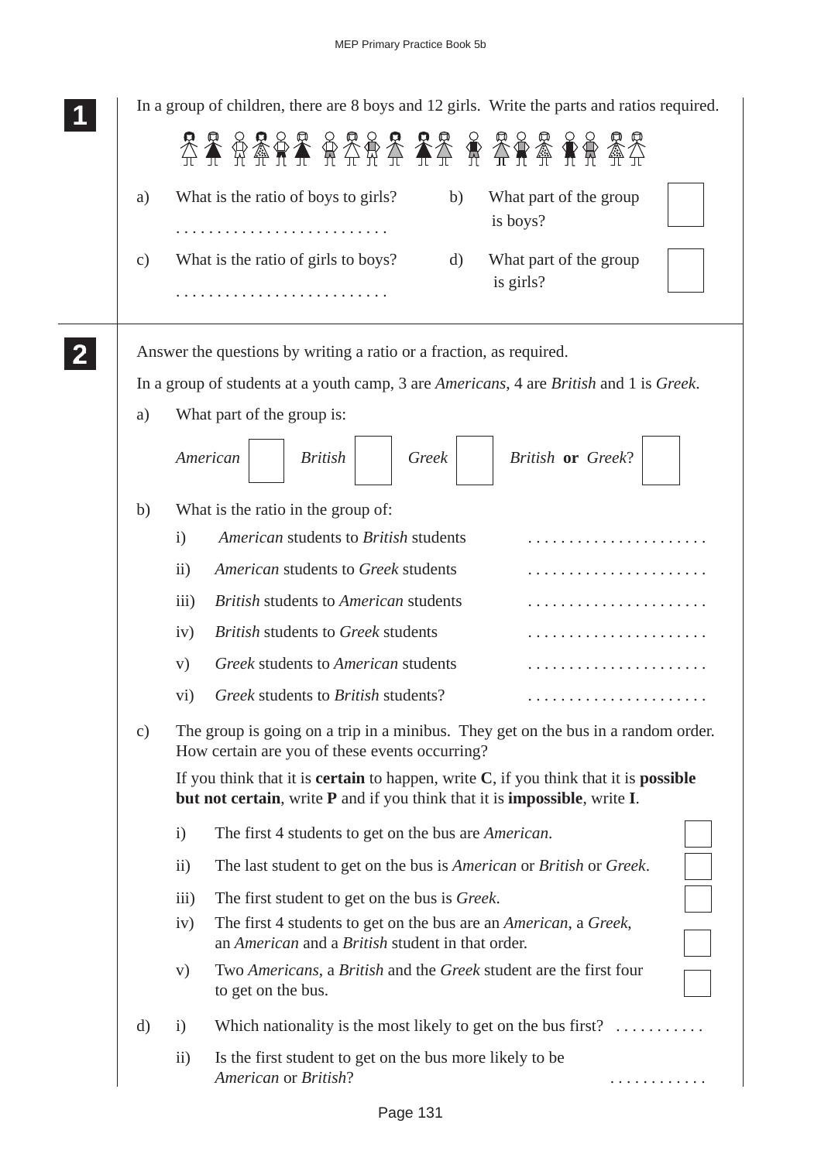|               | In a group of children, there are 8 boys and 12 girls. Write the parts and ratios required.                                                                                        |
|---------------|------------------------------------------------------------------------------------------------------------------------------------------------------------------------------------|
|               | 经经贸务贸易 经经济经济 经经济资源经济                                                                                                                                                               |
| a)            | What is the ratio of boys to girls?<br>What part of the group<br>b)                                                                                                                |
|               | is boys?                                                                                                                                                                           |
| $\mathbf{c})$ | What is the ratio of girls to boys?<br>What part of the group<br>d)<br>is girls?                                                                                                   |
|               | Answer the questions by writing a ratio or a fraction, as required.                                                                                                                |
|               | In a group of students at a youth camp, 3 are <i>Americans</i> , 4 are <i>British</i> and 1 is <i>Greek</i> .                                                                      |
| a)            | What part of the group is:                                                                                                                                                         |
|               | American<br>British or Greek?<br><b>British</b><br>Greek                                                                                                                           |
| b)            | What is the ratio in the group of:                                                                                                                                                 |
|               | American students to British students<br>$\mathbf{i}$                                                                                                                              |
|               | American students to Greek students<br>$\rm ii)$                                                                                                                                   |
|               | <b>British students to American students</b><br>iii)                                                                                                                               |
|               | <b>British students to Greek students</b><br>iv)                                                                                                                                   |
|               | Greek students to American students<br>V)                                                                                                                                          |
|               | Greek students to British students?<br>$\rm vi)$                                                                                                                                   |
| $\mathbf{c})$ | The group is going on a trip in a minibus. They get on the bus in a random order.<br>How certain are you of these events occurring?                                                |
|               | If you think that it is <b>certain</b> to happen, write $C$ , if you think that it is <b>possible</b><br>but not certain, write P and if you think that it is impossible, write I. |
|               | The first 4 students to get on the bus are <i>American</i> .<br>$\mathbf{i}$                                                                                                       |
|               | The last student to get on the bus is American or British or Greek.<br>$\rm ii)$                                                                                                   |
|               | The first student to get on the bus is <i>Greek</i> .<br>$\overline{111}$                                                                                                          |
|               | The first 4 students to get on the bus are an <i>American</i> , a <i>Greek</i> ,<br>iv)<br>an American and a British student in that order.                                        |
|               | Two Americans, a British and the Greek student are the first four<br>V)<br>to get on the bus.                                                                                      |
| d)            | Which nationality is the most likely to get on the bus first? $\dots\dots\dots$<br>$\mathbf{i}$                                                                                    |
|               | Is the first student to get on the bus more likely to be<br>$\rm ii)$<br>American or British?                                                                                      |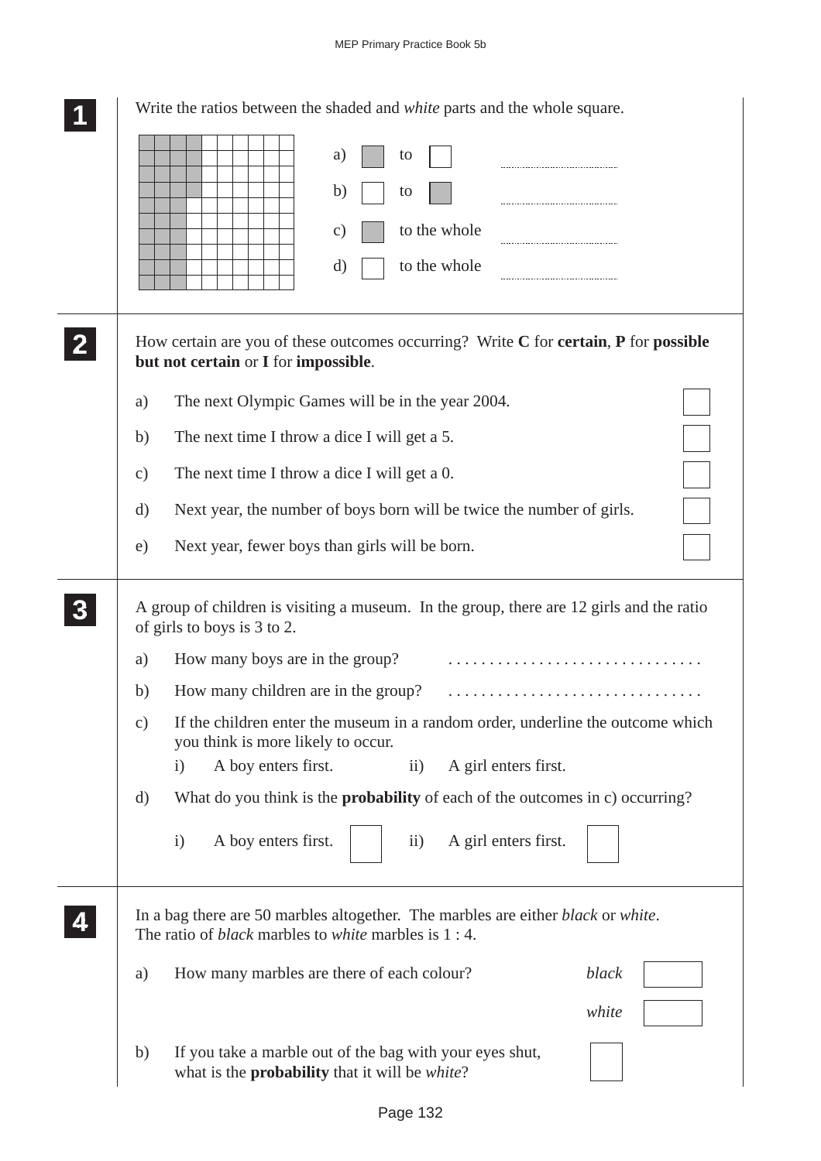|                 | Write the ratios between the shaded and <i>white</i> parts and the whole square.                                                                                        |
|-----------------|-------------------------------------------------------------------------------------------------------------------------------------------------------------------------|
|                 | a)<br>to                                                                                                                                                                |
|                 | b)<br>to                                                                                                                                                                |
|                 | to the whole<br>$\mathcal{C}$ )                                                                                                                                         |
|                 | to the whole<br>d)                                                                                                                                                      |
|                 | How certain are you of these outcomes occurring? Write $C$ for certain, $P$ for possible<br>but not certain or I for impossible.                                        |
| a)              | The next Olympic Games will be in the year 2004.                                                                                                                        |
| b)              | The next time I throw a dice I will get a 5.                                                                                                                            |
| $\mathcal{C}$ ) | The next time I throw a dice I will get a 0.                                                                                                                            |
| d)              | Next year, the number of boys born will be twice the number of girls.                                                                                                   |
| e)              | Next year, fewer boys than girls will be born.                                                                                                                          |
|                 | A group of children is visiting a museum. In the group, there are 12 girls and the ratio<br>of girls to boys is 3 to 2.                                                 |
| a)              | How many boys are in the group?                                                                                                                                         |
| b)              | How many children are in the group?                                                                                                                                     |
| $\mathbf{c})$   | If the children enter the museum in a random order, underline the outcome which<br>you think is more likely to occur.                                                   |
|                 | A boy enters first.<br>$\overline{11}$ )<br>A girl enters first.<br>$\rm i)$                                                                                            |
| $\mathbf{d}$    | What do you think is the <b>probability</b> of each of the outcomes in c) occurring?                                                                                    |
|                 | A girl enters first.<br>A boy enters first.<br>$\rm ii)$<br>$\mathbf{i}$                                                                                                |
|                 | In a bag there are 50 marbles altogether. The marbles are either <i>black</i> or <i>white</i> .<br>The ratio of <i>black</i> marbles to <i>white</i> marbles is $1:4$ . |
| a)              | How many marbles are there of each colour?<br>black                                                                                                                     |
|                 | white                                                                                                                                                                   |
| b)              | If you take a marble out of the bag with your eyes shut,<br>what is the <b>probability</b> that it will be <i>white</i> ?                                               |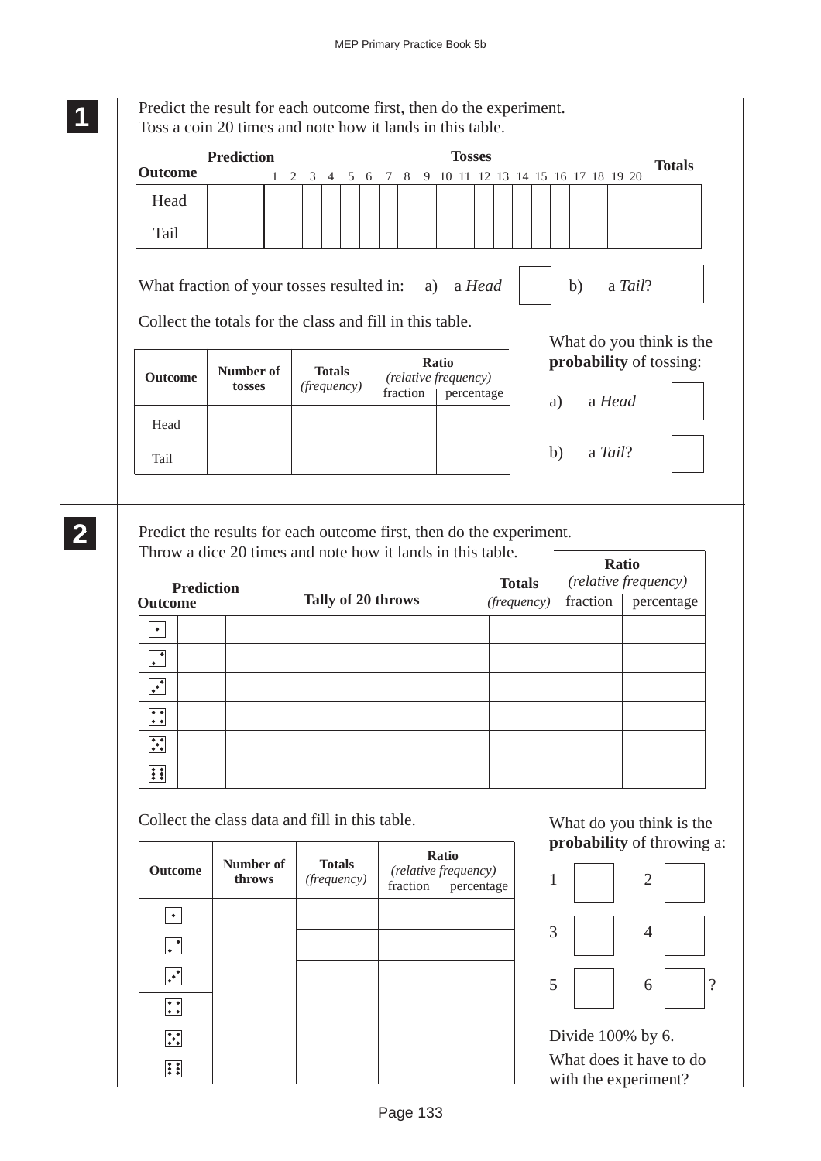**1 11 11**

> **2 22 22**

Predict the result for each outcome first, then do the experiment. Toss a coin 20 times and note how it lands in this table.

|                                                                                                                                                                        | <b>Prediction</b>                                                                                                                          |  |   |              |               |                    |  |     |          |   |              | <b>Tosses</b>                      |  |  |    |         |  | <b>Totals</b>                  |
|------------------------------------------------------------------------------------------------------------------------------------------------------------------------|--------------------------------------------------------------------------------------------------------------------------------------------|--|---|--------------|---------------|--------------------|--|-----|----------|---|--------------|------------------------------------|--|--|----|---------|--|--------------------------------|
| <b>Outcome</b>                                                                                                                                                         |                                                                                                                                            |  | 2 | $\mathbf{3}$ |               | 4 5 6              |  | 7 8 |          | 9 |              | 10 11 12 13 14 15 16 17 18 19 20   |  |  |    |         |  |                                |
| Head                                                                                                                                                                   |                                                                                                                                            |  |   |              |               |                    |  |     |          |   |              |                                    |  |  |    |         |  |                                |
| Tail                                                                                                                                                                   |                                                                                                                                            |  |   |              |               |                    |  |     |          |   |              |                                    |  |  |    |         |  |                                |
| b)<br>a Tail?<br>What fraction of your tosses resulted in:<br>a) a <i>Head</i><br>Collect the totals for the class and fill in this table.<br>What do you think is the |                                                                                                                                            |  |   |              |               |                    |  |     |          |   |              |                                    |  |  |    |         |  |                                |
| <b>Outcome</b>                                                                                                                                                         | Number of<br>tosses                                                                                                                        |  |   |              | <b>Totals</b> | <i>(frequency)</i> |  |     | fraction |   | <b>Ratio</b> | (relative frequency)<br>percentage |  |  | a) | a Head  |  | <b>probability</b> of tossing: |
| Head                                                                                                                                                                   |                                                                                                                                            |  |   |              |               |                    |  |     |          |   |              |                                    |  |  |    |         |  |                                |
| Tail                                                                                                                                                                   |                                                                                                                                            |  |   |              |               |                    |  |     |          |   |              |                                    |  |  | b) | a Tail? |  |                                |
|                                                                                                                                                                        |                                                                                                                                            |  |   |              |               |                    |  |     |          |   |              |                                    |  |  |    |         |  |                                |
|                                                                                                                                                                        | Predict the results for each outcome first, then do the experiment.<br>Throw a dice 20 times and note how it lands in this table.<br>Ratio |  |   |              |               |                    |  |     |          |   |              |                                    |  |  |    |         |  |                                |

| <b>Prediction</b><br><b>Outcome</b>                  |  |                    | <b>Totals</b> | Ratio<br>(relative frequency) |            |  |  |
|------------------------------------------------------|--|--------------------|---------------|-------------------------------|------------|--|--|
|                                                      |  | Tally of 20 throws | (frequency)   | fraction                      | percentage |  |  |
| ٠                                                    |  |                    |               |                               |            |  |  |
| l.                                                   |  |                    |               |                               |            |  |  |
| .∙                                                   |  |                    |               |                               |            |  |  |
| $\overline{\bullet\bullet}$<br>$ \bullet\> \bullet $ |  |                    |               |                               |            |  |  |
| $\ddot{\cdot}$                                       |  |                    |               |                               |            |  |  |
| <b>I</b>                                             |  |                    |               |                               |            |  |  |

Collect the class data and fill in this table.

| <b>Outcome</b> | Number of<br>throws | <b>Totals</b><br>(frequency) | Ratio<br>(relative frequency)<br>fraction   percentage |
|----------------|---------------------|------------------------------|--------------------------------------------------------|
|                |                     |                              |                                                        |
|                |                     |                              |                                                        |
| ⋰              |                     |                              |                                                        |
| ∷:             |                     |                              |                                                        |
| ∴              |                     |                              |                                                        |
|                |                     |                              |                                                        |

What do you think is the **probability** of throwing a:



Divide 100% by 6. What does it have to do with the experiment?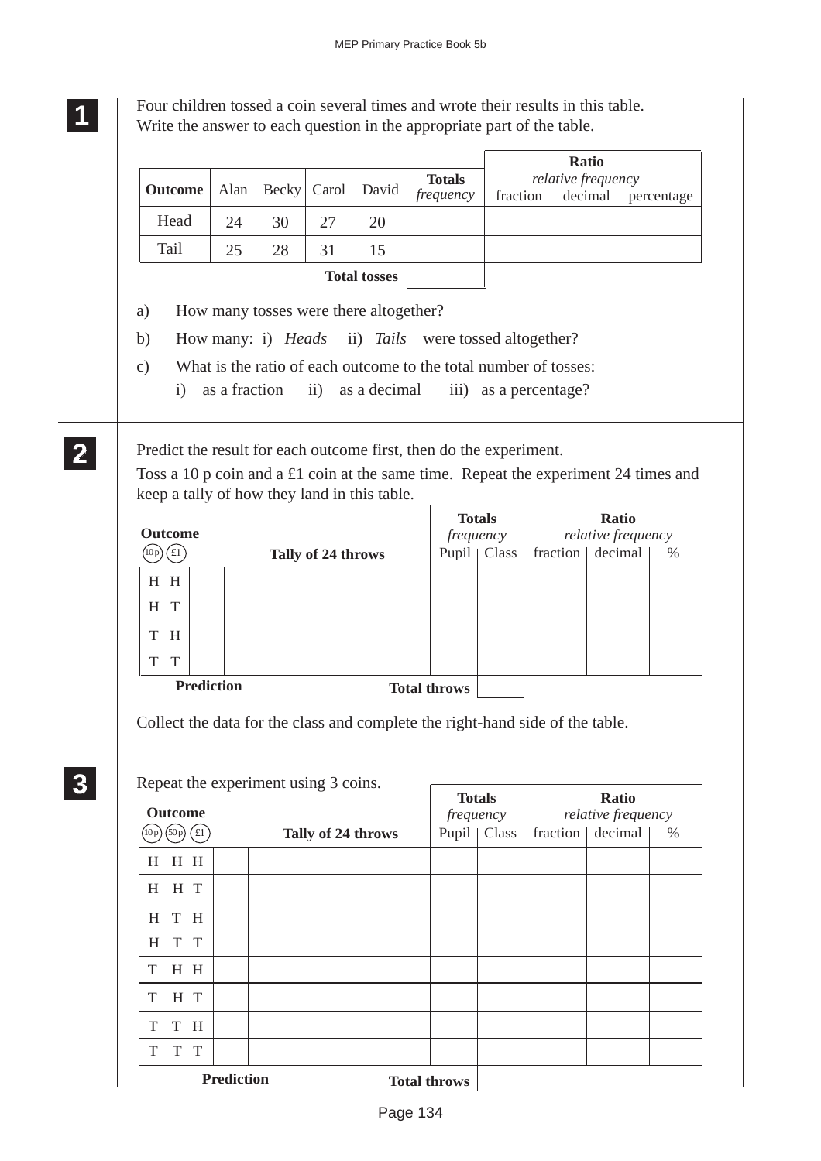**1 11 11** Four children tossed a coin several times and wrote their results in this table. Write the answer to each question in the appropriate part of the table.

|                                                                                                                                                                                                           |               |              |                    |                                        | <b>Totals</b>                                                      |          |                       | <b>Ratio</b><br>relative frequency |            |
|-----------------------------------------------------------------------------------------------------------------------------------------------------------------------------------------------------------|---------------|--------------|--------------------|----------------------------------------|--------------------------------------------------------------------|----------|-----------------------|------------------------------------|------------|
| <b>Outcome</b>                                                                                                                                                                                            | Alan          | <b>Becky</b> | Carol              | David                                  | frequency                                                          | fraction |                       | decimal                            | percentage |
| Head                                                                                                                                                                                                      | 24            | 30           | 27                 | 20                                     |                                                                    |          |                       |                                    |            |
| Tail                                                                                                                                                                                                      | 25            | 28           | 31                 | 15                                     |                                                                    |          |                       |                                    |            |
|                                                                                                                                                                                                           |               |              |                    | <b>Total tosses</b>                    |                                                                    |          |                       |                                    |            |
| a)                                                                                                                                                                                                        |               |              |                    | How many tosses were there altogether? |                                                                    |          |                       |                                    |            |
| b)                                                                                                                                                                                                        |               |              |                    |                                        | How many: i) <i>Heads</i> ii) <i>Tails</i> were tossed altogether? |          |                       |                                    |            |
| $\mathbf{c})$                                                                                                                                                                                             |               |              |                    |                                        | What is the ratio of each outcome to the total number of tosses:   |          |                       |                                    |            |
| $\mathbf{i}$                                                                                                                                                                                              | as a fraction |              | $\mathbf{ii}$      | as a decimal                           |                                                                    |          | iii) as a percentage? |                                    |            |
| Predict the result for each outcome first, then do the experiment.<br>Toss a 10 p coin and a £1 coin at the same time. Repeat the experiment 24 times and<br>keep a tally of how they land in this table. |               |              |                    |                                        | <b>Totals</b>                                                      |          |                       | <b>Ratio</b>                       |            |
| <b>Outcome</b>                                                                                                                                                                                            |               |              |                    |                                        | frequency                                                          |          |                       | relative frequency                 |            |
| $(\text{t})$<br>(10p)                                                                                                                                                                                     |               |              | Tally of 24 throws |                                        | Pupil   Class                                                      |          | fraction              | decimal                            | $\%$       |
| $\mathbf{H}$ $\mathbf{H}$<br>H T                                                                                                                                                                          |               |              |                    |                                        |                                                                    |          |                       |                                    |            |
| T H                                                                                                                                                                                                       |               |              |                    |                                        |                                                                    |          |                       |                                    |            |
|                                                                                                                                                                                                           |               |              |                    |                                        |                                                                    |          |                       |                                    |            |
|                                                                                                                                                                                                           |               |              |                    |                                        |                                                                    |          |                       |                                    |            |
| T<br>T<br><b>Prediction</b>                                                                                                                                                                               |               |              |                    |                                        | <b>Total throws</b>                                                |          |                       |                                    |            |
| Collect the data for the class and complete the right-hand side of the table.<br>Repeat the experiment using 3 coins.                                                                                     |               |              |                    |                                        | <b>Totals</b>                                                      |          |                       | <b>Ratio</b>                       |            |
| <b>Outcome</b><br>$(10p)(50p)(\text{\textsterling}1)$                                                                                                                                                     |               |              |                    | Tally of 24 throws                     | frequency<br>Pupil   Class                                         |          | fraction              | relative frequency<br>decimal      | $\%$       |
| $H$ $H$ $H$                                                                                                                                                                                               |               |              |                    |                                        |                                                                    |          |                       |                                    |            |
| H H T                                                                                                                                                                                                     |               |              |                    |                                        |                                                                    |          |                       |                                    |            |
| H T H                                                                                                                                                                                                     |               |              |                    |                                        |                                                                    |          |                       |                                    |            |
| T T<br>H                                                                                                                                                                                                  |               |              |                    |                                        |                                                                    |          |                       |                                    |            |
| $\,$ H $\,$ H<br>T                                                                                                                                                                                        |               |              |                    |                                        |                                                                    |          |                       |                                    |            |
| H T<br>T                                                                                                                                                                                                  |               |              |                    |                                        |                                                                    |          |                       |                                    |            |
| T H<br>T<br>T T                                                                                                                                                                                           |               |              |                    |                                        |                                                                    |          |                       |                                    |            |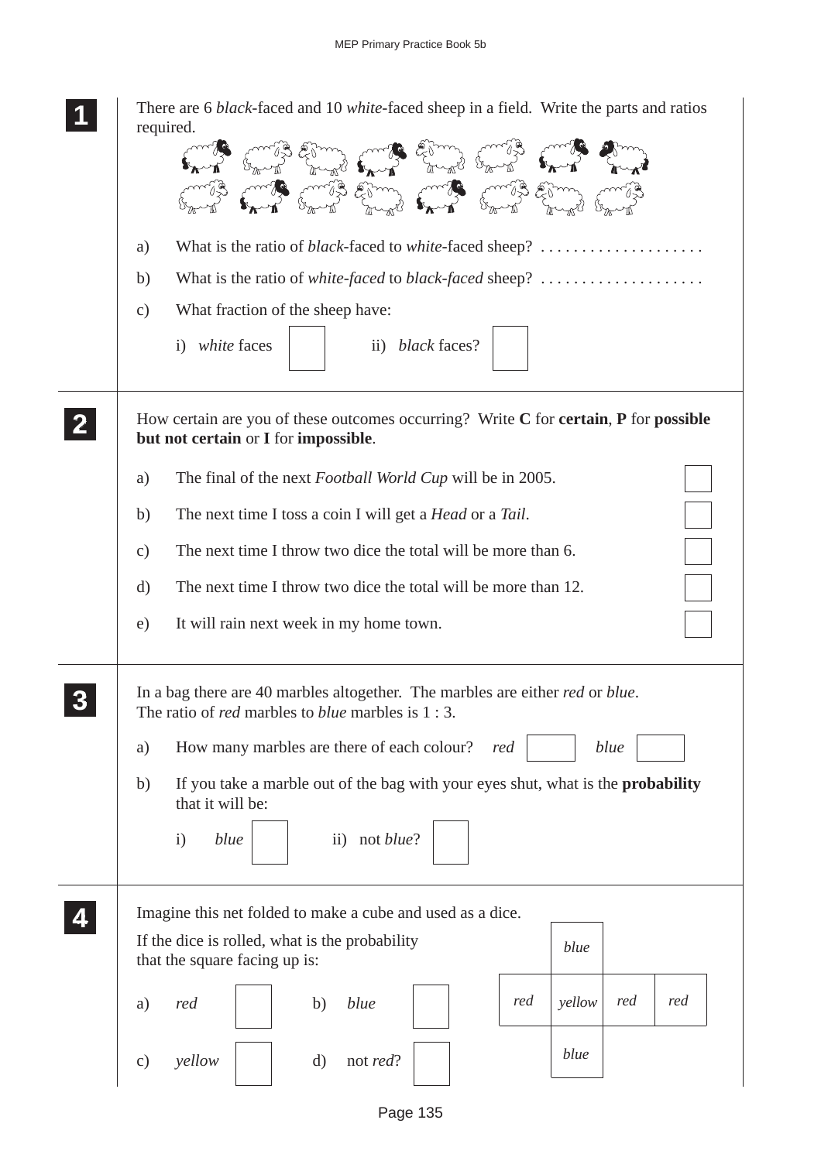|              | There are 6 black-faced and 10 white-faced sheep in a field. Write the parts and ratios<br>required.<br>What is the ratio of <i>black</i> -faced to <i>white</i> -faced sheep?<br>a)<br>What is the ratio of <i>white-faced</i> to <i>black-faced</i> sheep?<br>b)<br>What fraction of the sheep have:<br>$\mathbf{c})$<br>i) white faces<br>ii) black faces? |
|--------------|---------------------------------------------------------------------------------------------------------------------------------------------------------------------------------------------------------------------------------------------------------------------------------------------------------------------------------------------------------------|
| $\mathbf{2}$ | How certain are you of these outcomes occurring? Write $C$ for <b>certain</b> , $P$ for <b>possible</b><br>but not certain or I for impossible.<br>The final of the next <i>Football World Cup</i> will be in 2005.<br>a)                                                                                                                                     |
|              | The next time I toss a coin I will get a <i>Head</i> or a <i>Tail</i> .<br>b)                                                                                                                                                                                                                                                                                 |
|              | The next time I throw two dice the total will be more than 6.<br>$\mathbf{c})$                                                                                                                                                                                                                                                                                |
|              | The next time I throw two dice the total will be more than 12.<br>d)                                                                                                                                                                                                                                                                                          |
|              | It will rain next week in my home town.<br>e)                                                                                                                                                                                                                                                                                                                 |
|              | In a bag there are 40 marbles altogether. The marbles are either <i>red</i> or <i>blue</i> .<br>The ratio of <i>red</i> marbles to <i>blue</i> marbles is $1:3$ .                                                                                                                                                                                             |
|              | How many marbles are there of each colour?<br>blue<br>red<br>a)                                                                                                                                                                                                                                                                                               |
|              | If you take a marble out of the bag with your eyes shut, what is the <b>probability</b><br>b)<br>that it will be:                                                                                                                                                                                                                                             |
|              | not blue?<br>$\mathbf{i}$<br>blue<br>$\rm ii)$                                                                                                                                                                                                                                                                                                                |
|              | Imagine this net folded to make a cube and used as a dice.                                                                                                                                                                                                                                                                                                    |
|              | If the dice is rolled, what is the probability<br>blue<br>that the square facing up is:                                                                                                                                                                                                                                                                       |
|              | red<br>red<br>red<br>yellow<br>blue<br>red<br>b)<br>a)                                                                                                                                                                                                                                                                                                        |
|              | blue<br>$\mathbf{d}$<br>not <i>red</i> ?<br>yellow<br>$\mathbf{c})$                                                                                                                                                                                                                                                                                           |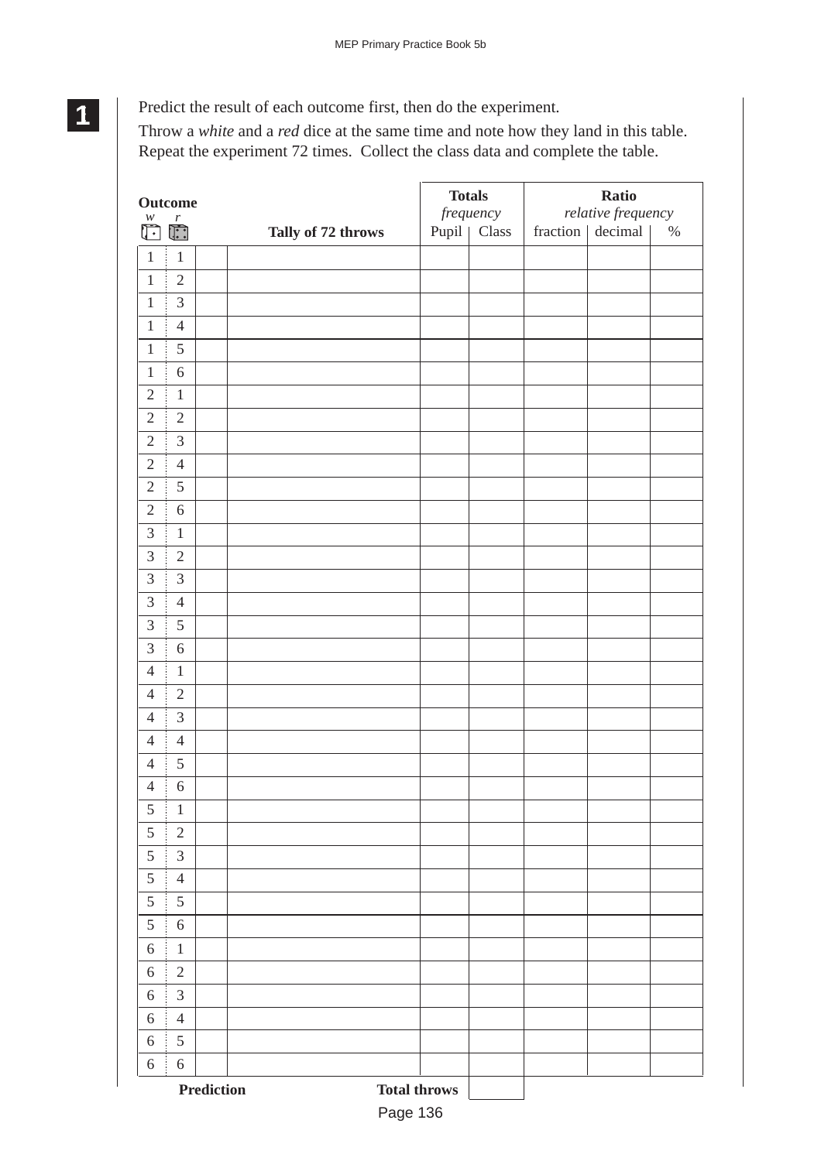# Predict the result of each outcome first, then do the experiment.

**1 11 11**

Throw a *white* and a *red* dice at the same time and note how they land in this table. Repeat the experiment 72 times. Collect the class data and complete the table.

|                         | <b>Outcome</b>    |                                   | <b>Totals</b> | frequency     |          | <b>Ratio</b><br>relative frequency |      |
|-------------------------|-------------------|-----------------------------------|---------------|---------------|----------|------------------------------------|------|
| $\overline{\mathbb{C}}$ |                   | Tally of 72 throws                |               | Pupil   Class | fraction | decimal                            | $\%$ |
| $\mathbf{1}$            | $\mathbf{1}$<br>j |                                   |               |               |          |                                    |      |
| $\mathbf{1}$            | $\overline{2}$    |                                   |               |               |          |                                    |      |
| $\mathbf{1}$            | $\mathfrak{Z}$    |                                   |               |               |          |                                    |      |
| $\mathbf{1}$            | $\overline{4}$    |                                   |               |               |          |                                    |      |
| $\mathbf{1}$            | $\mathfrak s$     |                                   |               |               |          |                                    |      |
| $\mathbf{1}$            | $\sqrt{6}$        |                                   |               |               |          |                                    |      |
| $\mathfrak{2}$          | $\,1\,$           |                                   |               |               |          |                                    |      |
| $\sqrt{2}$              | $\sqrt{2}$        |                                   |               |               |          |                                    |      |
| $\overline{2}$          | 3                 |                                   |               |               |          |                                    |      |
| $\sqrt{2}$              | $\overline{4}$    |                                   |               |               |          |                                    |      |
| $\overline{2}$          | 5                 |                                   |               |               |          |                                    |      |
| $\sqrt{2}$              | $\sqrt{6}$        |                                   |               |               |          |                                    |      |
| $\mathfrak{Z}$          | $\,1\,$           |                                   |               |               |          |                                    |      |
| 3                       | $\overline{2}$    |                                   |               |               |          |                                    |      |
| 3                       | $\mathfrak{Z}$    |                                   |               |               |          |                                    |      |
| 3                       | $\overline{4}$    |                                   |               |               |          |                                    |      |
| 3                       | 5                 |                                   |               |               |          |                                    |      |
| $\mathfrak{Z}$          | $\sqrt{6}$        |                                   |               |               |          |                                    |      |
| $\overline{4}$          | $\,1\,$           |                                   |               |               |          |                                    |      |
| $\overline{4}$          | $\sqrt{2}$        |                                   |               |               |          |                                    |      |
| $\overline{4}$          | $\mathfrak{Z}$    |                                   |               |               |          |                                    |      |
| $\overline{4}$          | $\overline{4}$    |                                   |               |               |          |                                    |      |
| $\overline{4}$          | $\mathfrak s$     |                                   |               |               |          |                                    |      |
| $\overline{4}$          | $\sqrt{6}$        |                                   |               |               |          |                                    |      |
| $\sqrt{5}$              | $\,1\,$           |                                   |               |               |          |                                    |      |
| 5                       | $\sqrt{2}$        |                                   |               |               |          |                                    |      |
| 5                       | $\mathfrak{Z}$    |                                   |               |               |          |                                    |      |
| $\sqrt{5}$              | $\overline{4}$    |                                   |               |               |          |                                    |      |
| 5                       | 5                 |                                   |               |               |          |                                    |      |
| $\sqrt{5}$              | $\sqrt{6}$        |                                   |               |               |          |                                    |      |
| $6\,$                   | $1\,$             |                                   |               |               |          |                                    |      |
| $6\,$                   | $\overline{2}$    |                                   |               |               |          |                                    |      |
| 6                       | $\mathfrak{Z}$    |                                   |               |               |          |                                    |      |
| 6                       | $\overline{4}$    |                                   |               |               |          |                                    |      |
| $\boldsymbol{6}$        | $\sqrt{5}$        |                                   |               |               |          |                                    |      |
| 6                       | $\sqrt{6}$        |                                   |               |               |          |                                    |      |
|                         |                   | Prediction<br><b>Total throws</b> |               |               |          |                                    |      |

Page 136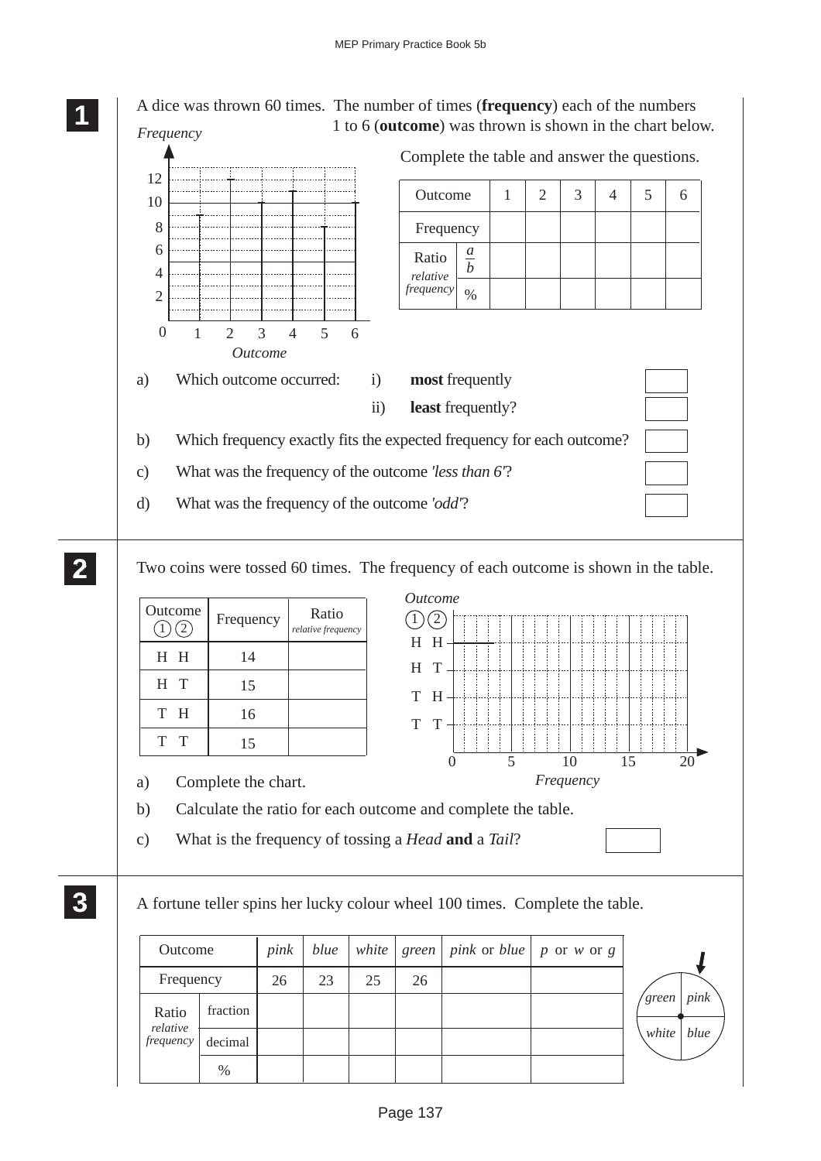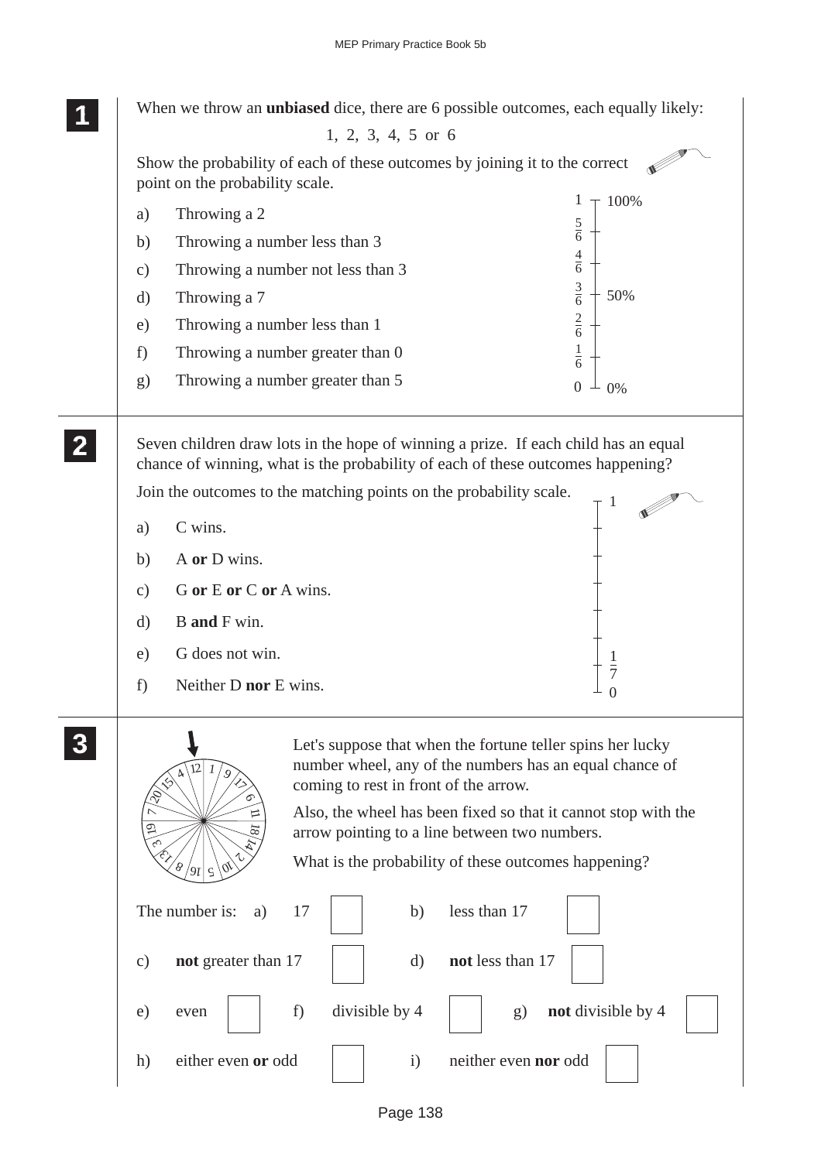

## 1, 2, 3, 4, 5 or 6

**1 11 11**

> Show the probability of each of these outcomes by joining it to the correct  $\mathscr{L}$ point on the probability scale.



number wheel, any of the numbers has an equal chance of coming to rest in front of the arrow.

Also, the wheel has been fixed so that it cannot stop with the arrow pointing to a line between two numbers.

What is the probability of these outcomes happening?



 $\sqrt[1]{\frac{9}{2}}$ 

 $8/9$  ج $|$  ج $\,$ 

 $\hat{\epsilon}_{\mathcal{F}}$ ن 19  $\overline{\phantom{0}}$ 

 $254/12$ 

6 ロ 18  $\hat{\mathcal{A}}$ 10<br>10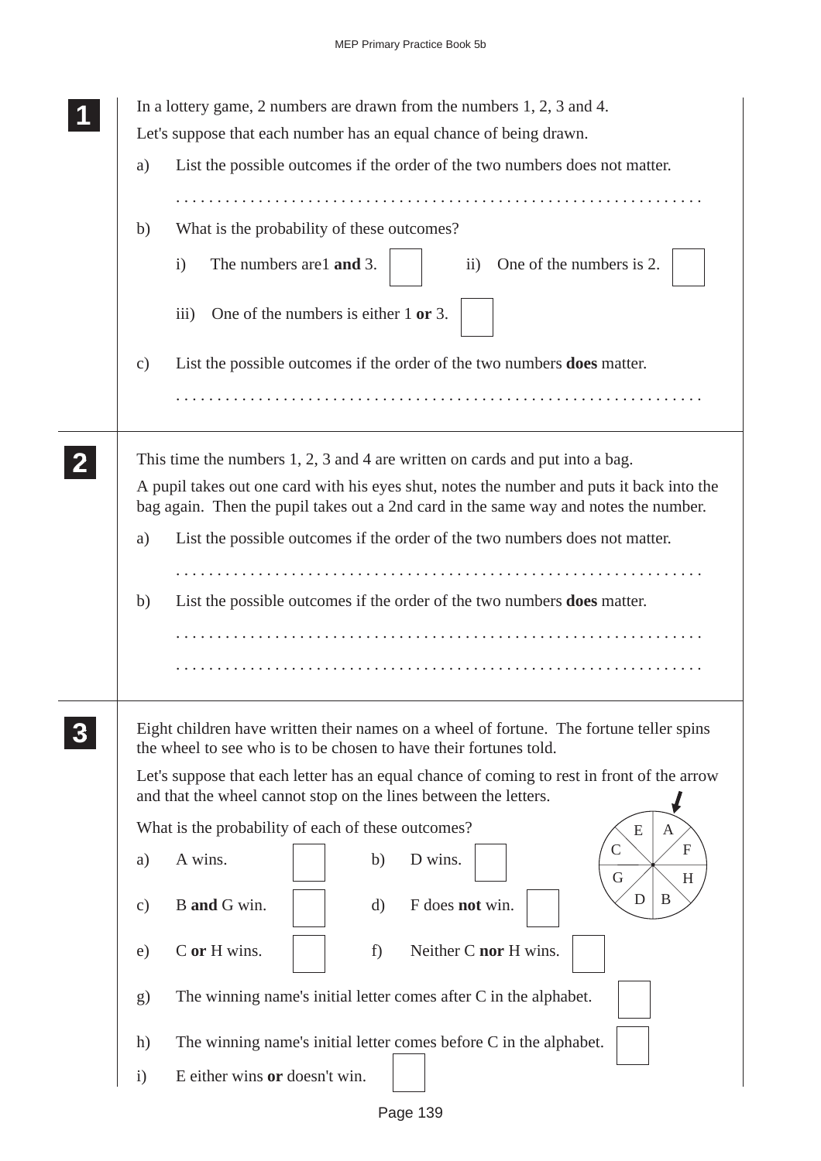|               | In a lottery game, 2 numbers are drawn from the numbers $1, 2, 3$ and $4$ .<br>Let's suppose that each number has an equal chance of being drawn.                                                                                                                                                                              |
|---------------|--------------------------------------------------------------------------------------------------------------------------------------------------------------------------------------------------------------------------------------------------------------------------------------------------------------------------------|
| a)            | List the possible outcomes if the order of the two numbers does not matter.                                                                                                                                                                                                                                                    |
| b)            | .<br>What is the probability of these outcomes?<br>The numbers are1 and 3.<br>ii) One of the numbers is 2.<br>$\mathbf{i}$                                                                                                                                                                                                     |
|               | One of the numbers is either 1 or 3.<br>$\overline{iii}$                                                                                                                                                                                                                                                                       |
| $\mathbf{c})$ | List the possible outcomes if the order of the two numbers <b>does</b> matter.                                                                                                                                                                                                                                                 |
|               | This time the numbers $1, 2, 3$ and 4 are written on cards and put into a bag.<br>A pupil takes out one card with his eyes shut, notes the number and puts it back into the<br>bag again. Then the pupil takes out a 2nd card in the same way and notes the number.                                                            |
| a)            | List the possible outcomes if the order of the two numbers does not matter.                                                                                                                                                                                                                                                    |
| b)            | List the possible outcomes if the order of the two numbers <b>does</b> matter.                                                                                                                                                                                                                                                 |
|               | Eight children have written their names on a wheel of fortune. The fortune teller spins<br>the wheel to see who is to be chosen to have their fortunes told.<br>Let's suppose that each letter has an equal chance of coming to rest in front of the arrow<br>and that the wheel cannot stop on the lines between the letters. |
|               | What is the probability of each of these outcomes?<br>$\mathbf{A}$<br>E                                                                                                                                                                                                                                                        |
| a)            | $\mathcal{C}$<br>F<br>A wins.<br>D wins.<br>b)<br>G<br>H                                                                                                                                                                                                                                                                       |
| $\mathbf{c})$ | D<br>B<br>B and G win.<br>F does not win.<br>$\mathbf{d}$                                                                                                                                                                                                                                                                      |
| e)            | Neither C nor H wins.<br>C or H wins.<br>f)                                                                                                                                                                                                                                                                                    |
| $\mathbf{g}$  | The winning name's initial letter comes after C in the alphabet.                                                                                                                                                                                                                                                               |
| h)            | The winning name's initial letter comes before C in the alphabet.                                                                                                                                                                                                                                                              |
| $\mathbf{i}$  | E either wins or doesn't win.                                                                                                                                                                                                                                                                                                  |